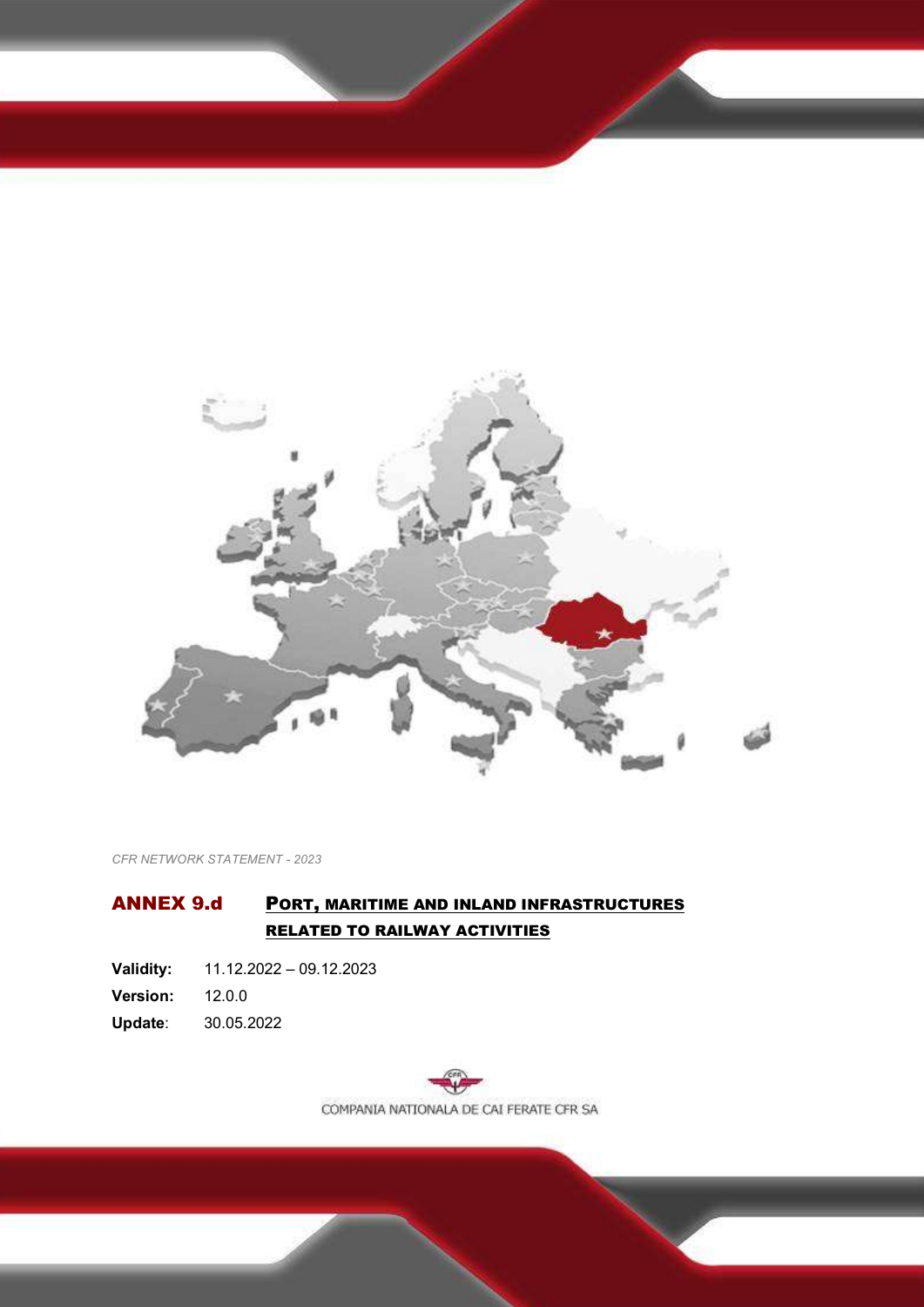

*CFR NETWORK STATEMENT - 2023*

# <span id="page-0-0"></span>ANNEX 9.d PORT, MARITIME AND INLAND INFRASTRUCTURES RELATED TO RAILWAY ACTIVITIES

**Validity:** 11.12.2022 – 09.12.2023 **Version:** 12.0.0

<span id="page-0-2"></span><span id="page-0-1"></span>**Update**: 30.05.2022

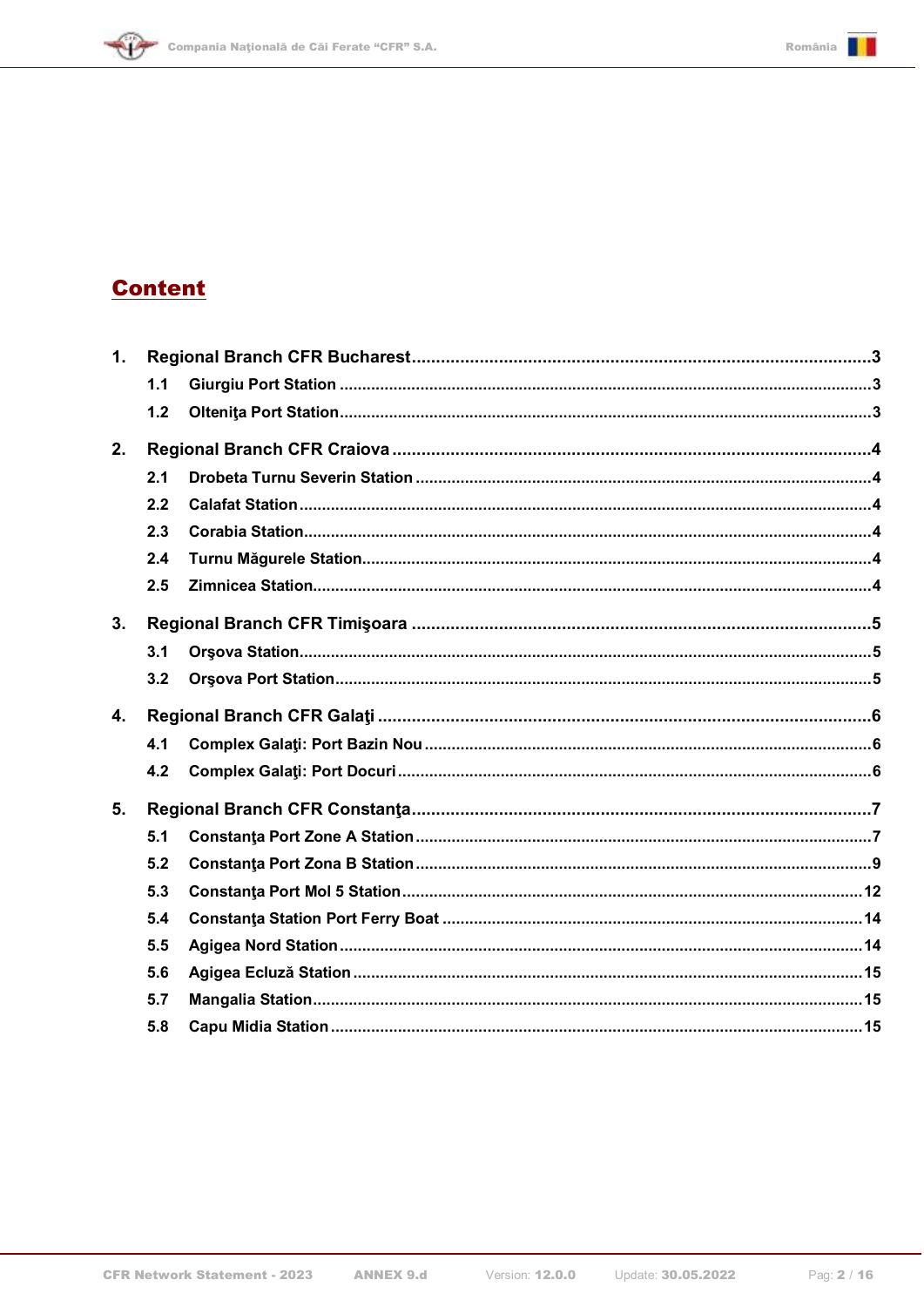







| 1. |     |  |  |  |  |  |  |  |
|----|-----|--|--|--|--|--|--|--|
|    | 1.1 |  |  |  |  |  |  |  |
|    | 1.2 |  |  |  |  |  |  |  |
| 2. |     |  |  |  |  |  |  |  |
|    | 2.1 |  |  |  |  |  |  |  |
|    | 2.2 |  |  |  |  |  |  |  |
|    | 2.3 |  |  |  |  |  |  |  |
|    | 2.4 |  |  |  |  |  |  |  |
|    | 2.5 |  |  |  |  |  |  |  |
| 3. |     |  |  |  |  |  |  |  |
|    | 3.1 |  |  |  |  |  |  |  |
|    | 3.2 |  |  |  |  |  |  |  |
| 4. |     |  |  |  |  |  |  |  |
|    | 4.1 |  |  |  |  |  |  |  |
|    | 4.2 |  |  |  |  |  |  |  |
| 5. |     |  |  |  |  |  |  |  |
|    | 5.1 |  |  |  |  |  |  |  |
|    | 5.2 |  |  |  |  |  |  |  |
|    | 5.3 |  |  |  |  |  |  |  |
|    | 5.4 |  |  |  |  |  |  |  |
|    | 5.5 |  |  |  |  |  |  |  |
|    | 5.6 |  |  |  |  |  |  |  |
|    | 5.7 |  |  |  |  |  |  |  |
|    | 5.8 |  |  |  |  |  |  |  |
|    |     |  |  |  |  |  |  |  |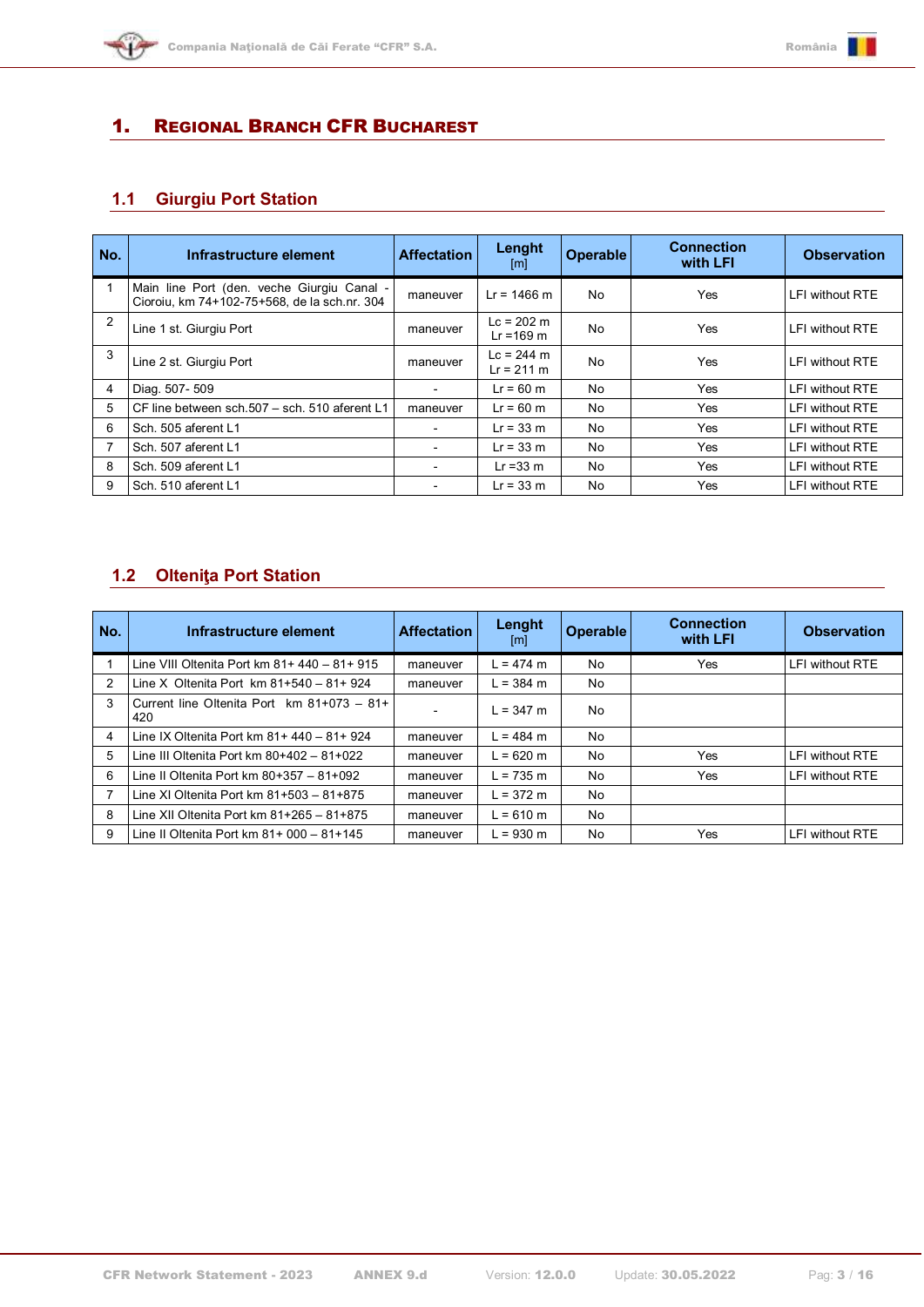

# <span id="page-2-0"></span>1. REGIONAL BRANCH CFR BUCHAREST

# <span id="page-2-1"></span>**1.1 Giurgiu Port Station**

| No.            | Infrastructure element                                                                     | <b>Affectation</b>       | Lenght<br>[m]                        | <b>Operable</b> | <b>Connection</b><br>with LFI | <b>Observation</b> |
|----------------|--------------------------------------------------------------------------------------------|--------------------------|--------------------------------------|-----------------|-------------------------------|--------------------|
|                | Main line Port (den. veche Giurgiu Canal -<br>Cioroiu, km 74+102-75+568, de la sch.nr. 304 | maneuver                 | $Lr = 1466$ m                        | N <sub>0</sub>  | Yes                           | LFI without RTE    |
| $\overline{2}$ | Line 1 st. Giurgiu Port                                                                    | maneuver                 | $Lc = 202$ m<br>$Lr = 169$ m         | No              | Yes                           | LFI without RTE    |
| 3              | Line 2 st. Giurgiu Port                                                                    | maneuver                 | $Lc = 244 m$<br>$Lr = 211 \text{ m}$ | N <sub>0</sub>  | Yes                           | LFI without RTE    |
| 4              | Diag. 507-509                                                                              | $\overline{\phantom{0}}$ | $Lr = 60$ m                          | N <sub>0</sub>  | Yes                           | LFI without RTE    |
| 5              | CF line between sch. 507 - sch. 510 aferent L1                                             | maneuver                 | $Lr = 60$ m                          | No.             | Yes                           | LFI without RTE    |
| 6              | Sch. 505 aferent L1                                                                        |                          | $Lr = 33$ m                          | No              | Yes                           | LFI without RTE    |
|                | Sch. 507 aferent L1                                                                        |                          | $Lr = 33 m$                          | No              | Yes                           | LFI without RTE    |
| 8              | Sch. 509 aferent L1                                                                        |                          | $Lr = 33$ m                          | No              | Yes                           | LFI without RTE    |
| 9              | Sch. 510 aferent L1                                                                        |                          | $Lr = 33$ m                          | No              | Yes                           | LFI without RTE    |

## <span id="page-2-2"></span>**1.2 Olteniţa Port Station**

| No. | Infrastructure element                              | <b>Affectation</b> | Lenght<br>[m] | Operable       | <b>Connection</b><br>with LFI | <b>Observation</b> |
|-----|-----------------------------------------------------|--------------------|---------------|----------------|-------------------------------|--------------------|
|     | Line VIII Oltenita Port km $81+440-81+915$          | maneuver           | $L = 474$ m   | N <sub>0</sub> | <b>Yes</b>                    | LFI without RTE    |
| 2   | Line X Oltenita Port km $81+540 - 81+924$           | maneuver           | $L = 384$ m   | No             |                               |                    |
| 3   | Current line Oltenita Port km $81+073 - 81+$<br>420 |                    | $L = 347$ m   | N <sub>0</sub> |                               |                    |
| 4   | Line IX Oltenita Port km 81+ 440 - 81+ 924          | maneuver           | $L = 484$ m   | N <sub>0</sub> |                               |                    |
| 5   | Line III Oltenita Port km $80+402-81+022$           | maneuver           | $L = 620$ m   | No.            | Yes                           | LFI without RTE    |
| 6   | Line II Oltenita Port km $80+357 - 81+092$          | maneuver           | $L = 735$ m   | No.            | Yes                           | LFI without RTE    |
|     | Line XI Oltenita Port km 81+503 - 81+875            | maneuver           | $L = 372$ m   | No             |                               |                    |
| 8   | Line XII Oltenita Port km 81+265 - 81+875           | maneuver           | $L = 610$ m   | No             |                               |                    |
| 9   | Line II Oltenita Port km $81+000-81+145$            | maneuver           | $L = 930$ m   | No             | Yes                           | LFI without RTE    |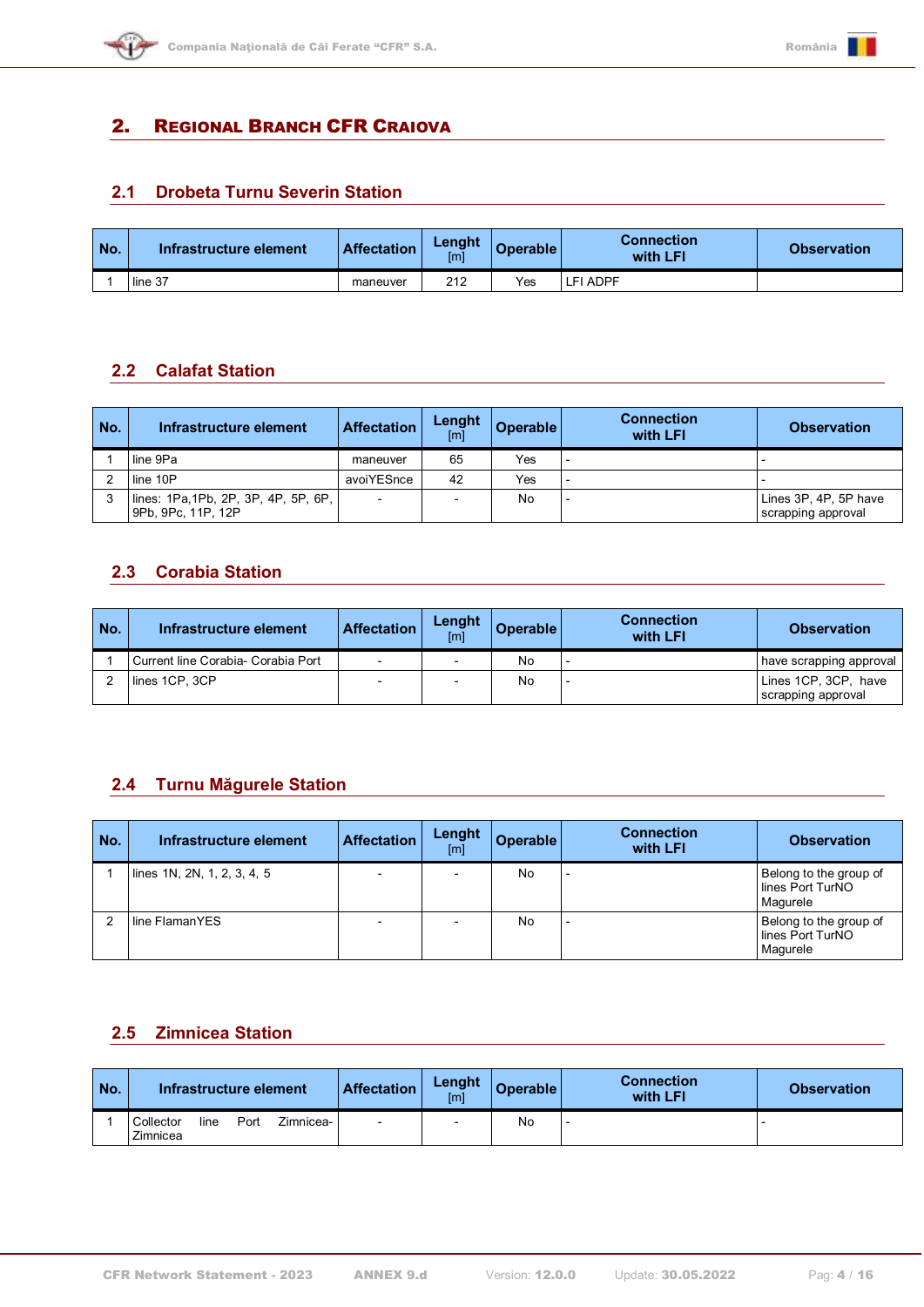

## <span id="page-3-0"></span>2. REGIONAL BRANCH CFR CRAIOVA

#### <span id="page-3-1"></span>**2.1 Drobeta Turnu Severin Station**

| No. | Infrastructure element | <b>Affectation</b> | Lenght<br>[m] | <b>Operable</b> | <b>Connection</b><br>with LFI | <b>Observation</b> |
|-----|------------------------|--------------------|---------------|-----------------|-------------------------------|--------------------|
|     | line 37                | maneuver           | 212           | Yes             | FI ADPF-                      |                    |

### <span id="page-3-2"></span>**2.2 Calafat Station**

| No. | Infrastructure element                                     | <b>Affectation</b> | Lenght<br>[ <sub>m</sub> ] | <b>Operable</b> | <b>Connection</b><br>with LFI | <b>Observation</b>                          |
|-----|------------------------------------------------------------|--------------------|----------------------------|-----------------|-------------------------------|---------------------------------------------|
|     | line 9Pa                                                   | maneuver           | 65                         | Yes             |                               |                                             |
|     | line 10P                                                   | avoiYESnce         | 42                         | Yes             |                               |                                             |
|     | lines: 1Pa, 1Pb, 2P, 3P, 4P, 5P, 6P,<br>9Pb, 9Pc, 11P, 12P | $\overline{a}$     |                            | No              |                               | Lines 3P, 4P, 5P have<br>scrapping approval |

### <span id="page-3-3"></span>**2.3 Corabia Station**

| No. | Infrastructure element               | <b>Affectation</b>       | Lenght<br>[m] | Operable | <b>Connection</b><br>with LFI | <b>Observation</b>                         |
|-----|--------------------------------------|--------------------------|---------------|----------|-------------------------------|--------------------------------------------|
|     | l Current line Corabia- Corabia Port | $\overline{\phantom{a}}$ |               | No       |                               | have scrapping approval                    |
|     | lines 1CP, 3CP                       |                          |               | No       |                               | Lines 1CP, 3CP, have<br>scrapping approval |

## <span id="page-3-4"></span>**2.4 Turnu Măgurele Station**

| No. | Infrastructure element      | <b>Affectation</b>       | Lenght<br>[m] | <b>Operable</b> | <b>Connection</b><br>with LFI | <b>Observation</b>                                     |
|-----|-----------------------------|--------------------------|---------------|-----------------|-------------------------------|--------------------------------------------------------|
|     | lines 1N, 2N, 1, 2, 3, 4, 5 |                          |               | No              | $\overline{\phantom{a}}$      | Belong to the group of<br>lines Port TurNO<br>Magurele |
|     | l line FlamanYES            | $\overline{\phantom{a}}$ |               | No              | $\overline{\phantom{a}}$      | Belong to the group of<br>lines Port TurNO<br>Magurele |

#### <span id="page-3-5"></span>**2.5 Zimnicea Station**

| No. | Infrastructure element        |      | <b>Affectation</b> | Lenght<br>[m]            | <b>Operable</b> | <b>Connection</b><br>with LFI | <b>Observation</b> |  |
|-----|-------------------------------|------|--------------------|--------------------------|-----------------|-------------------------------|--------------------|--|
|     | Collector<br>line<br>Zimnicea | Port | Zimnicea-          | $\overline{\phantom{a}}$ | -               | No                            |                    |  |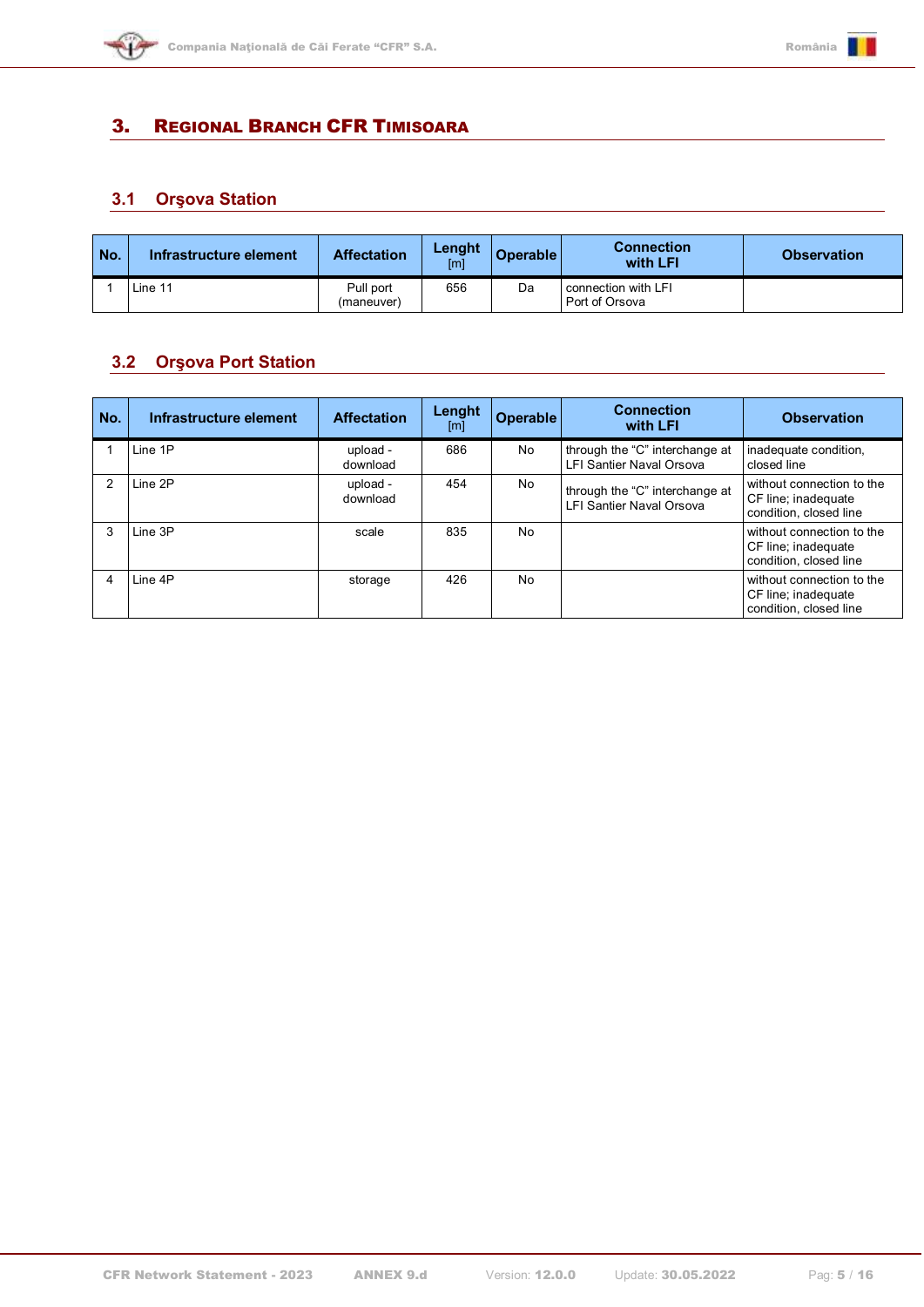

# <span id="page-4-0"></span>3. REGIONAL BRANCH CFR TIMISOARA

# <span id="page-4-1"></span>**3.1 Orşova Station**

| No. | Infrastructure element | <b>Affectation</b>      | Lenght<br>[m] | <b>Operable</b> | <b>Connection</b><br>with LFI         | <b>Observation</b> |
|-----|------------------------|-------------------------|---------------|-----------------|---------------------------------------|--------------------|
|     | Line 11                | Pull port<br>(maneuver) | 656           | Da              | connection with LFI<br>Port of Orsova |                    |

#### <span id="page-4-2"></span>**3.2 Orşova Port Station**

| No. | Infrastructure element | <b>Affectation</b>   | Lenght<br>[m] | <b>Operable</b> | <b>Connection</b><br>with LFI                              | <b>Observation</b>                                                         |
|-----|------------------------|----------------------|---------------|-----------------|------------------------------------------------------------|----------------------------------------------------------------------------|
|     | Line 1P                | upload -<br>download | 686           | No              | through the "C" interchange at<br>LFI Santier Naval Orsova | inadequate condition,<br>closed line                                       |
|     | Line 2P                | upload -<br>download | 454           | No              | through the "C" interchange at<br>LFI Santier Naval Orsova | without connection to the<br>CF line; inadequate<br>condition, closed line |
|     | Line 3P                | scale                | 835           | N <sub>o</sub>  |                                                            | without connection to the<br>CF line; inadequate<br>condition, closed line |
|     | Line 4P                | storage              | 426           | No              |                                                            | without connection to the<br>CF line; inadequate<br>condition, closed line |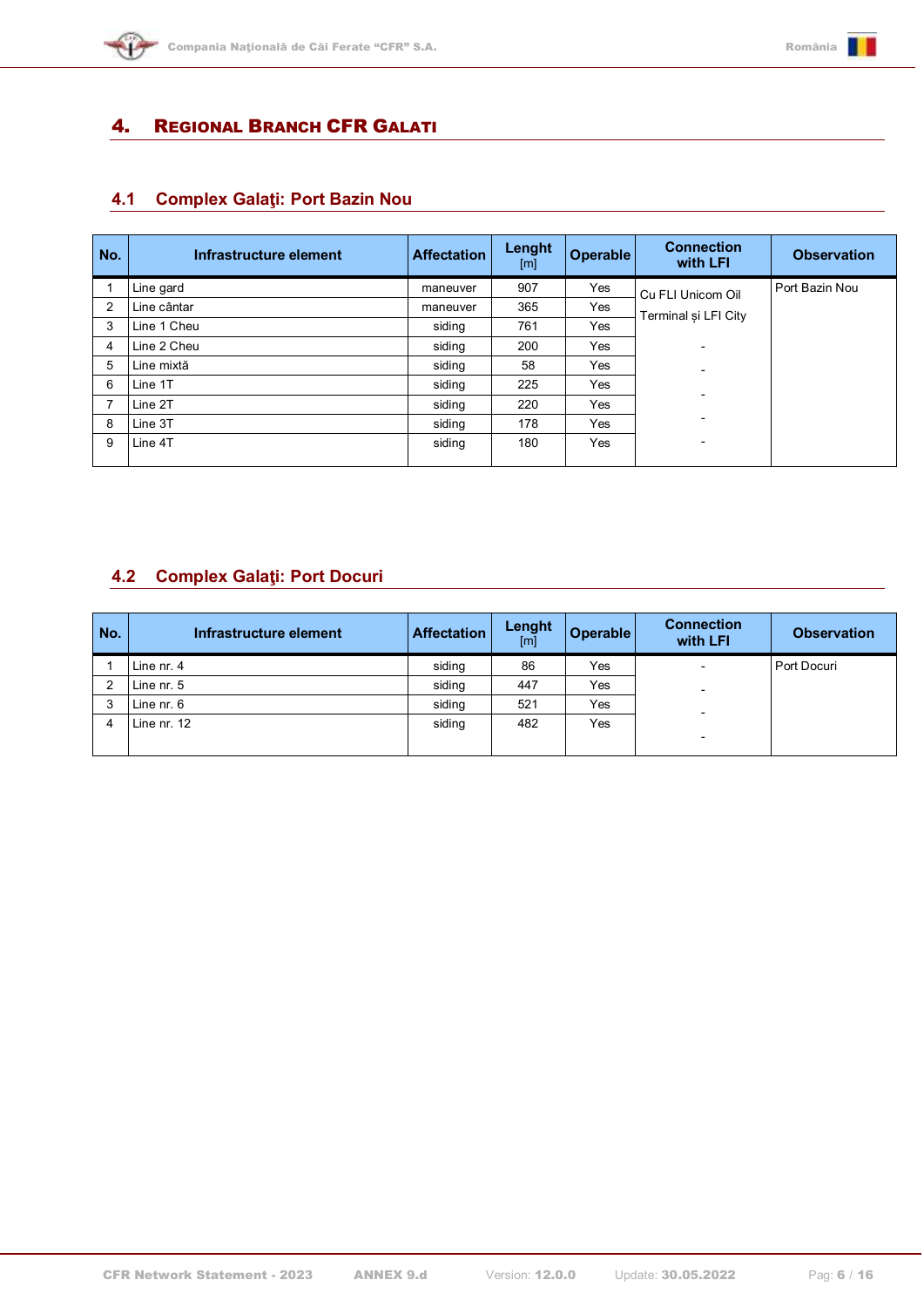

# <span id="page-5-0"></span>4. REGIONAL BRANCH CFR GALATI

# <span id="page-5-1"></span>**4.1 Complex Galaţi: Port Bazin Nou**

| No. | Infrastructure element | <b>Affectation</b> | Lenght<br>[m] | <b>Operable</b> | <b>Connection</b><br>with LFI | <b>Observation</b> |
|-----|------------------------|--------------------|---------------|-----------------|-------------------------------|--------------------|
|     | Line gard              | maneuver           | 907           | Yes             | Cu FLI Unicom Oil             | Port Bazin Nou     |
| 2   | Line cântar            | maneuver           | 365           | Yes             | Terminal si LFI City          |                    |
| 3   | Line 1 Cheu            | siding             | 761           | Yes             |                               |                    |
| 4   | Line 2 Cheu            | siding             | 200           | Yes             | $\overline{\phantom{0}}$      |                    |
| 5   | Line mixtă             | siding             | 58            | Yes             |                               |                    |
| 6   | Line 1T                | siding             | 225           | Yes             |                               |                    |
|     | Line 2T                | siding             | 220           | Yes             |                               |                    |
| 8   | Line 3T                | siding             | 178           | Yes             | -                             |                    |
| 9   | Line 4T                | siding             | 180           | Yes             | $\overline{\phantom{a}}$      |                    |
|     |                        |                    |               |                 |                               |                    |

## <span id="page-5-2"></span>**4.2 Complex Galaţi: Port Docuri**

| No. | Infrastructure element | <b>Affectation</b> | Lenght<br>[m] | <b>Operable</b> | <b>Connection</b><br>with LFI | <b>Observation</b> |
|-----|------------------------|--------------------|---------------|-----------------|-------------------------------|--------------------|
|     | Line nr. 4             | siding             | 86            | Yes             | $\overline{\phantom{0}}$      | Port Docuri        |
|     | Line nr. 5             | siding             | 447           | Yes             |                               |                    |
| 3   | Line nr. 6             | siding             | 521           | Yes             | $\overline{\phantom{0}}$      |                    |
| 4   | Line nr. 12            | siding             | 482           | Yes             |                               |                    |
|     |                        |                    |               |                 | $\overline{\phantom{a}}$      |                    |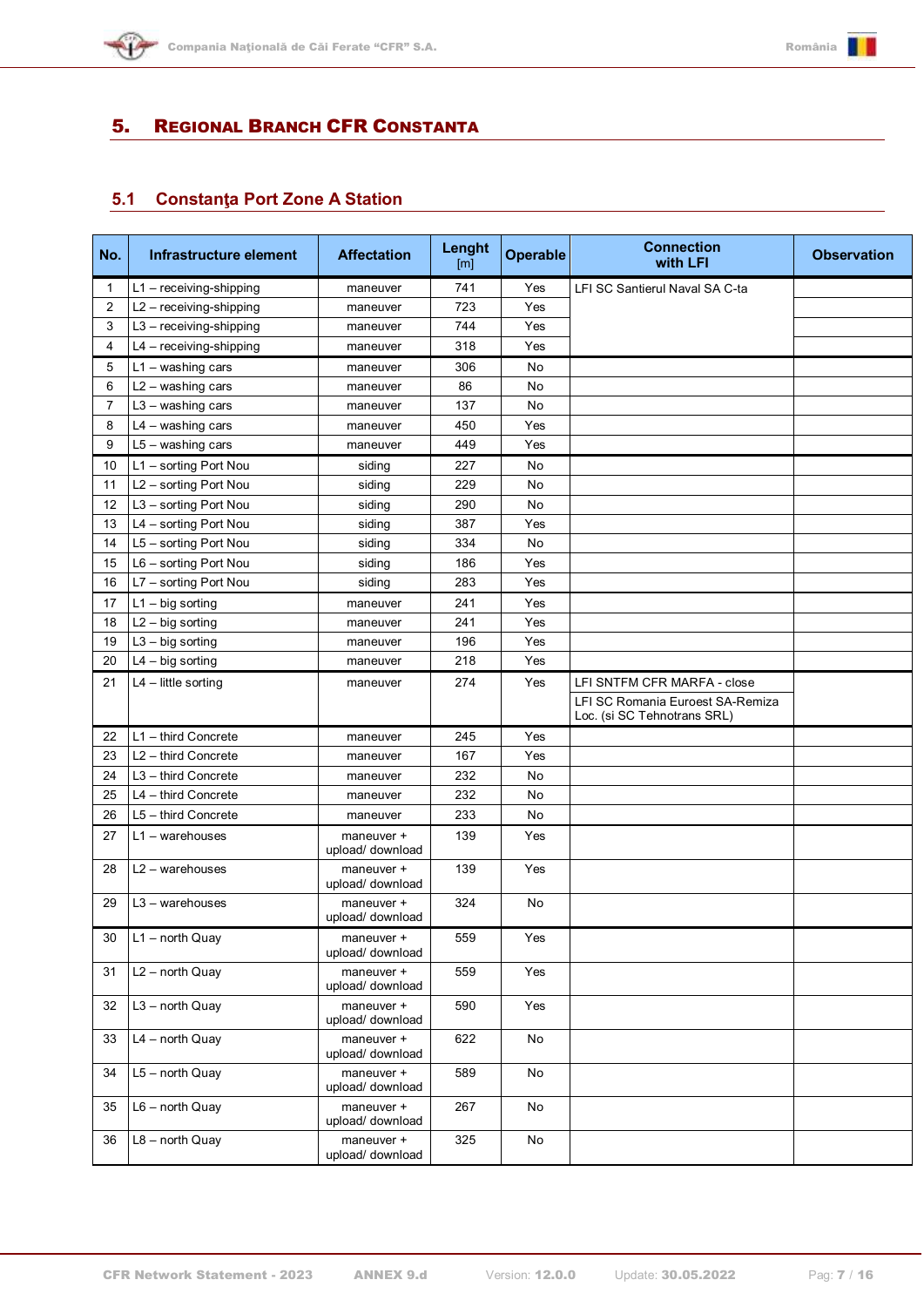

## <span id="page-6-0"></span>5. REGIONAL BRANCH CFR CONSTANTA

# <span id="page-6-1"></span>**5.1 Constanţa Port Zone A Station**

| No. | Infrastructure element    | <b>Affectation</b>             | Lenght<br>[ <sub>m</sub> ] | <b>Operable</b> | <b>Connection</b><br>with LFI                                   | <b>Observation</b> |
|-----|---------------------------|--------------------------------|----------------------------|-----------------|-----------------------------------------------------------------|--------------------|
| 1   | $L1 -$ receiving-shipping | maneuver                       | 741                        | Yes             | LFI SC Santierul Naval SA C-ta                                  |                    |
| 2   | L2 - receiving-shipping   | maneuver                       | 723                        | Yes             |                                                                 |                    |
| 3   | L3 - receiving-shipping   | maneuver                       | 744                        | Yes             |                                                                 |                    |
| 4   | L4 - receiving-shipping   | maneuver                       | 318                        | Yes             |                                                                 |                    |
| 5   | $L1 -$ washing cars       | maneuver                       | 306                        | No              |                                                                 |                    |
| 6   | L2 - washing cars         | maneuver                       | 86                         | No              |                                                                 |                    |
| 7   | $L3 -$ washing cars       | maneuver                       | 137                        | No              |                                                                 |                    |
| 8   | $L4 - washing cars$       | maneuver                       | 450                        | Yes             |                                                                 |                    |
| 9   | $L5 - washing cars$       | maneuver                       | 449                        | Yes             |                                                                 |                    |
| 10  | L1 - sorting Port Nou     | siding                         | 227                        | No              |                                                                 |                    |
| 11  | L2 - sorting Port Nou     | siding                         | 229                        | No              |                                                                 |                    |
| 12  | L3 - sorting Port Nou     | siding                         | 290                        | No              |                                                                 |                    |
| 13  | L4 - sorting Port Nou     | siding                         | 387                        | Yes             |                                                                 |                    |
| 14  | L5 - sorting Port Nou     | siding                         | 334                        | No              |                                                                 |                    |
| 15  | L6 - sorting Port Nou     | siding                         | 186                        | Yes             |                                                                 |                    |
| 16  | L7 - sorting Port Nou     | siding                         | 283                        | Yes             |                                                                 |                    |
| 17  | $L1 - big$ sorting        | maneuver                       | 241                        | Yes             |                                                                 |                    |
| 18  | $L2 - big$ sorting        | maneuver                       | 241                        | Yes             |                                                                 |                    |
| 19  | $L3 - big$ sorting        | maneuver                       | 196                        | Yes             |                                                                 |                    |
| 20  | $L4 - big$ sorting        | maneuver                       | 218                        | Yes             |                                                                 |                    |
| 21  | $L4$ – little sorting     | maneuver                       | 274                        | Yes             | LFI SNTFM CFR MARFA - close                                     |                    |
|     |                           |                                |                            |                 | LFI SC Romania Euroest SA-Remiza<br>Loc. (si SC Tehnotrans SRL) |                    |
| 22  | L1 - third Concrete       | maneuver                       | 245                        | Yes             |                                                                 |                    |
| 23  | L2 - third Concrete       | maneuver                       | 167                        | Yes             |                                                                 |                    |
| 24  | L3 - third Concrete       | maneuver                       | 232                        | No              |                                                                 |                    |
| 25  | L4 - third Concrete       | maneuver                       | 232                        | No              |                                                                 |                    |
| 26  | $L5$ – third Concrete     | maneuver                       | 233                        | No              |                                                                 |                    |
| 27  | $L1 -$ warehouses         | maneuver +<br>upload/ download | 139                        | Yes             |                                                                 |                    |
| 28  | $L2 -$ warehouses         | maneuver +<br>upload/ download | 139                        | Yes             |                                                                 |                    |
| 29  | $L3 -$ warehouses         | maneuver +<br>upload/ download | 324                        | No              |                                                                 |                    |
| 30  | $L1$ – north Quay         | maneuver +<br>upload/ download | 559                        | Yes             |                                                                 |                    |
| 31  | $L2$ – north Quay         | maneuver +<br>upload/ download | 559                        | Yes             |                                                                 |                    |
| 32  | $L3$ – north Quay         | maneuver +<br>upload/ download | 590                        | Yes             |                                                                 |                    |
| 33  | $L4$ – north Quay         | maneuver +<br>upload/ download | 622                        | No              |                                                                 |                    |
| 34  | $L5 - north$ Quay         | maneuver +<br>upload/ download | 589                        | No              |                                                                 |                    |
| 35  | $L6$ – north Quay         | maneuver +<br>upload/ download | 267                        | No              |                                                                 |                    |
| 36  | $L8$ – north Quay         | maneuver +<br>upload/ download | 325                        | No              |                                                                 |                    |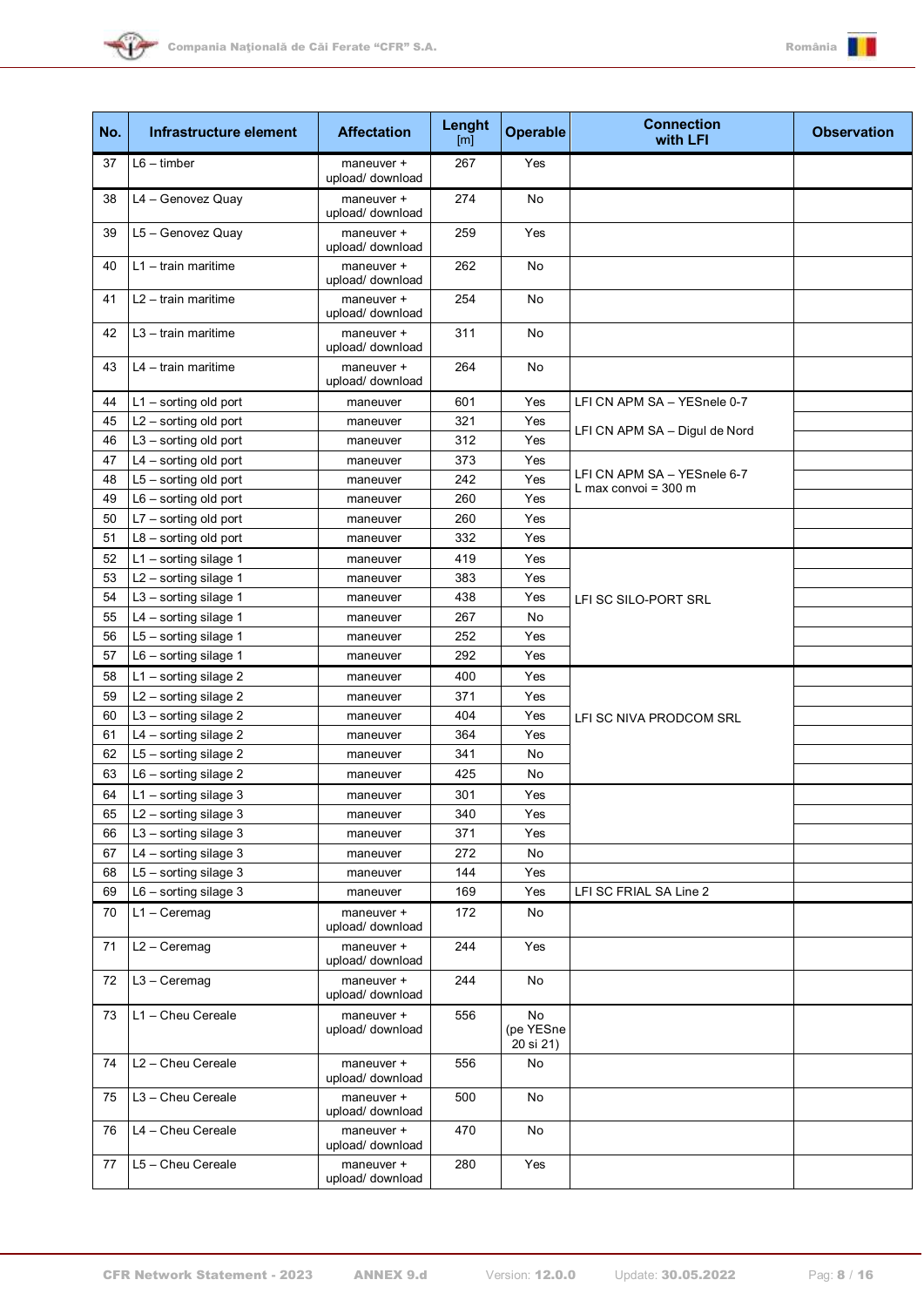



| No. | Infrastructure element  | <b>Affectation</b>             | Lenght<br>$\lceil m \rceil$ | <b>Operable</b>              | <b>Connection</b><br>with LFI | <b>Observation</b> |
|-----|-------------------------|--------------------------------|-----------------------------|------------------------------|-------------------------------|--------------------|
| 37  | $L6 -$ timber           | maneuver +<br>upload/ download | 267                         | Yes                          |                               |                    |
| 38  | L4 - Genovez Quay       | maneuver +<br>upload/ download | 274                         | No                           |                               |                    |
| 39  | L5 - Genovez Quay       | maneuver +<br>upload/ download | 259                         | Yes                          |                               |                    |
| 40  | $L1 - train$ maritime   | maneuver +<br>upload/ download | 262                         | No                           |                               |                    |
| 41  | $L2 - train$ maritime   | maneuver +<br>upload/ download | 254                         | No                           |                               |                    |
| 42  | $L3 - train$ maritime   | maneuver +<br>upload/ download | 311                         | No                           |                               |                    |
| 43  | $L4 - train$ maritime   | maneuver +<br>upload/ download | 264                         | No                           |                               |                    |
| 44  | $L1 -$ sorting old port | maneuver                       | 601                         | Yes                          | LFI CN APM SA - YESnele 0-7   |                    |
| 45  | L2 - sorting old port   | maneuver                       | 321                         | Yes                          | LFI CN APM SA - Digul de Nord |                    |
| 46  | $L3$ – sorting old port | maneuver                       | 312                         | Yes                          |                               |                    |
| 47  | L4 - sorting old port   | maneuver                       | 373                         | Yes                          |                               |                    |
| 48  | L5 - sorting old port   | maneuver                       | 242                         | Yes                          | LFI CN APM SA - YESnele 6-7   |                    |
| 49  | $L6 -$ sorting old port | maneuver                       | 260                         | Yes                          | L max convoi = $300$ m        |                    |
| 50  | L7 - sorting old port   | maneuver                       | 260                         | Yes                          |                               |                    |
| 51  | $L8 -$ sorting old port | maneuver                       | 332                         | Yes                          |                               |                    |
| 52  | $L1 -$ sorting silage 1 | maneuver                       | 419                         | Yes                          |                               |                    |
| 53  | $L2$ – sorting silage 1 | maneuver                       | 383                         | Yes                          |                               |                    |
| 54  | $L3$ – sorting silage 1 | maneuver                       | 438                         | Yes                          | LFI SC SILO-PORT SRL          |                    |
| 55  | L4 - sorting silage 1   | maneuver                       | 267                         | No                           |                               |                    |
| 56  | L5 - sorting silage 1   | maneuver                       | 252                         | Yes                          |                               |                    |
| 57  | $L6 -$ sorting silage 1 | maneuver                       | 292                         | Yes                          |                               |                    |
| 58  | $L1 -$ sorting silage 2 | maneuver                       | 400                         | Yes                          |                               |                    |
| 59  | L2 - sorting silage 2   | maneuver                       | 371                         | Yes                          |                               |                    |
| 60  | L3 - sorting silage 2   | maneuver                       | 404                         | Yes                          |                               |                    |
| 61  | $L4 -$ sorting silage 2 | maneuver                       | 364                         | Yes                          | LFI SC NIVA PRODCOM SRL       |                    |
| 62  | $L5 -$ sorting silage 2 |                                | 341                         | No                           |                               |                    |
| 63  | $L6 -$ sorting silage 2 | maneuver                       | 425                         | No                           |                               |                    |
|     |                         | maneuver                       |                             |                              |                               |                    |
| 64  | $L1 -$ sorting silage 3 | maneuver                       | 301                         | Yes                          |                               |                    |
| 65  | $L2$ – sorting silage 3 | maneuver                       | 340                         | Yes                          |                               |                    |
| 66  | L3 - sorting silage 3   | maneuver                       | 371                         | Yes                          |                               |                    |
| 67  | $L4 -$ sorting silage 3 | maneuver                       | 272                         | No                           |                               |                    |
| 68  | $L5 -$ sorting silage 3 | maneuver                       | 144                         | Yes                          | LFI SC FRIAL SA Line 2        |                    |
| 69  | $L6 -$ sorting silage 3 | maneuver                       | 169                         | Yes                          |                               |                    |
| 70  | $L1 - C$ eremag         | maneuver +<br>upload/ download | 172                         | No                           |                               |                    |
| 71  | $L2 - C$ eremag         | maneuver +<br>upload/ download | 244                         | Yes                          |                               |                    |
| 72  | $L3 - C$ eremag         | maneuver +<br>upload/ download | 244                         | No                           |                               |                    |
| 73  | L1 - Cheu Cereale       | maneuver +<br>upload/ download | 556                         | No<br>(pe YESne<br>20 si 21) |                               |                    |
| 74  | L2 - Cheu Cereale       | maneuver +<br>upload/ download | 556                         | No                           |                               |                    |
| 75  | L3 - Cheu Cereale       | maneuver +<br>upload/ download | 500                         | No                           |                               |                    |
| 76  | L4 - Cheu Cereale       | maneuver +<br>upload/ download | 470                         | No                           |                               |                    |
| 77  | L5 - Cheu Cereale       | maneuver +<br>upload/ download | 280                         | Yes                          |                               |                    |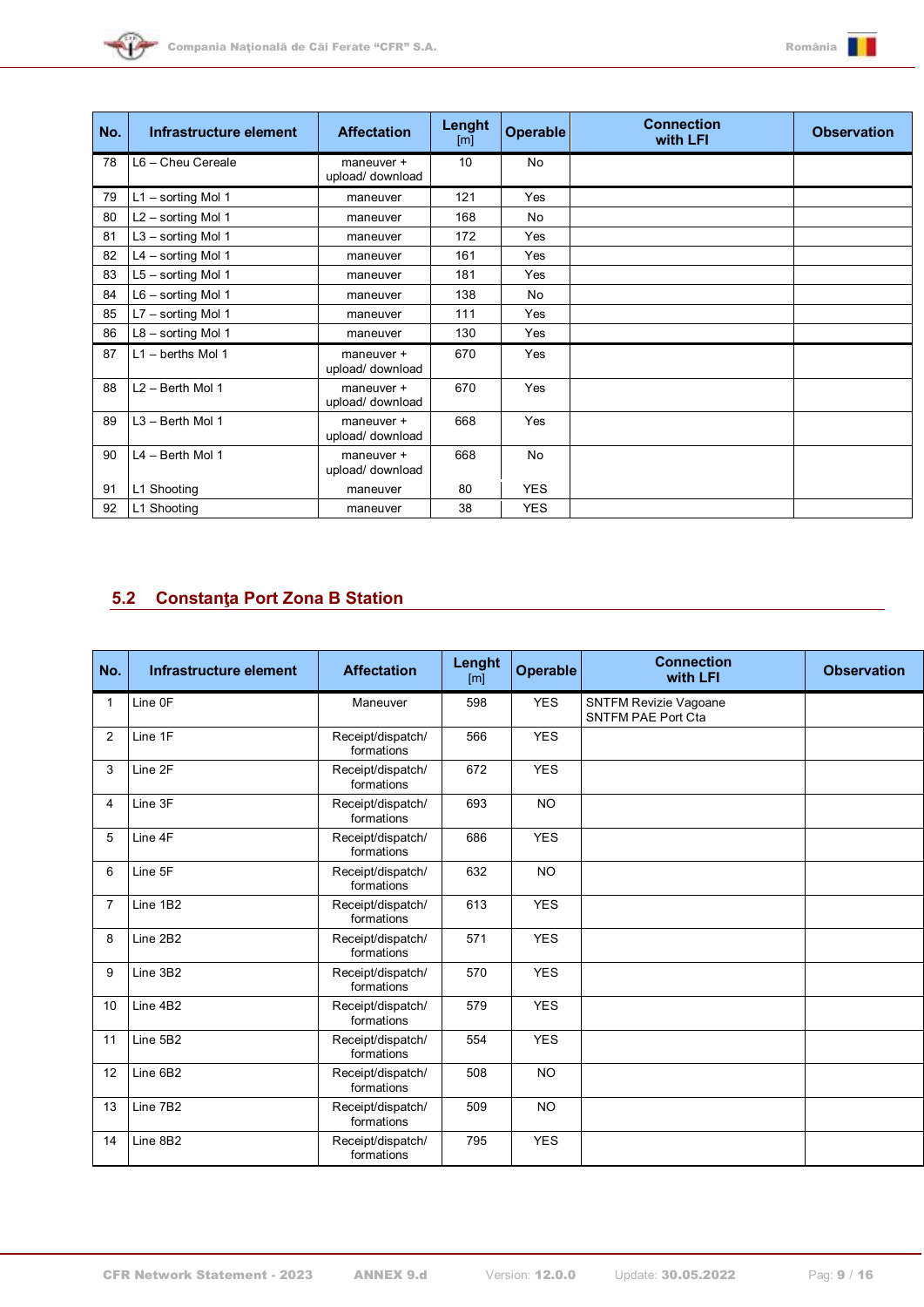



| No. | Infrastructure element | <b>Affectation</b>             | Lenght<br>[m] | <b>Operable</b> | <b>Connection</b><br>with LFI | <b>Observation</b> |
|-----|------------------------|--------------------------------|---------------|-----------------|-------------------------------|--------------------|
| 78  | L6 - Cheu Cereale      | maneuver +<br>upload/ download | 10            | No              |                               |                    |
| 79  | L1 - sorting Mol 1     | maneuver                       | 121           | Yes             |                               |                    |
| 80  | L2 - sorting Mol 1     | maneuver                       | 168           | No              |                               |                    |
| 81  | $L3$ – sorting Mol 1   | maneuver                       | 172           | Yes             |                               |                    |
| 82  | L4 - sorting Mol 1     | maneuver                       | 161           | Yes             |                               |                    |
| 83  | L5 - sorting Mol 1     | maneuver                       | 181           | Yes             |                               |                    |
| 84  | $L6 -$ sorting Mol 1   | maneuver                       | 138           | <b>No</b>       |                               |                    |
| 85  | $L7 -$ sorting Mol 1   | maneuver                       | 111           | Yes             |                               |                    |
| 86  | $L8 -$ sorting Mol 1   | maneuver                       | 130           | Yes             |                               |                    |
| 87  | $L1 -$ berths Mol 1    | maneuver +<br>upload/ download | 670           | Yes             |                               |                    |
| 88  | L2 - Berth Mol 1       | maneuver +<br>upload/ download | 670           | Yes             |                               |                    |
| 89  | L3 - Berth Mol 1       | maneuver +<br>upload/ download | 668           | Yes             |                               |                    |
| 90  | L4 - Berth Mol 1       | maneuver +<br>upload/ download | 668           | No              |                               |                    |
| 91  | L1 Shooting            | maneuver                       | 80            | <b>YES</b>      |                               |                    |
| 92  | L1 Shooting            | maneuver                       | 38            | <b>YES</b>      |                               |                    |

## <span id="page-8-0"></span>**5.2 Constanţa Port Zona B Station**

| No.            | Infrastructure element | <b>Affectation</b>              | Lenght<br>[m] | <b>Operable</b> | <b>Connection</b><br>with LFI                      | <b>Observation</b> |
|----------------|------------------------|---------------------------------|---------------|-----------------|----------------------------------------------------|--------------------|
| 1              | Line OF                | Maneuver                        | 598           | <b>YES</b>      | SNTFM Revizie Vagoane<br><b>SNTFM PAE Port Cta</b> |                    |
| 2              | Line 1F                | Receipt/dispatch/<br>formations | 566           | <b>YES</b>      |                                                    |                    |
| 3              | Line 2F                | Receipt/dispatch/<br>formations | 672           | <b>YES</b>      |                                                    |                    |
| 4              | Line 3F                | Receipt/dispatch/<br>formations | 693           | <b>NO</b>       |                                                    |                    |
| 5              | Line 4F                | Receipt/dispatch/<br>formations | 686           | <b>YES</b>      |                                                    |                    |
| 6              | Line 5F                | Receipt/dispatch/<br>formations | 632           | <b>NO</b>       |                                                    |                    |
| $\overline{7}$ | Line 1B2               | Receipt/dispatch/<br>formations | 613           | <b>YES</b>      |                                                    |                    |
| 8              | Line 2B2               | Receipt/dispatch/<br>formations | 571           | <b>YES</b>      |                                                    |                    |
| 9              | Line 3B2               | Receipt/dispatch/<br>formations | 570           | <b>YES</b>      |                                                    |                    |
| 10             | Line 4B2               | Receipt/dispatch/<br>formations | 579           | <b>YES</b>      |                                                    |                    |
| 11             | Line 5B2               | Receipt/dispatch/<br>formations | 554           | <b>YES</b>      |                                                    |                    |
| 12             | Line 6B2               | Receipt/dispatch/<br>formations | 508           | <b>NO</b>       |                                                    |                    |
| 13             | Line 7B2               | Receipt/dispatch/<br>formations | 509           | <b>NO</b>       |                                                    |                    |
| 14             | Line 8B2               | Receipt/dispatch/<br>formations | 795           | <b>YES</b>      |                                                    |                    |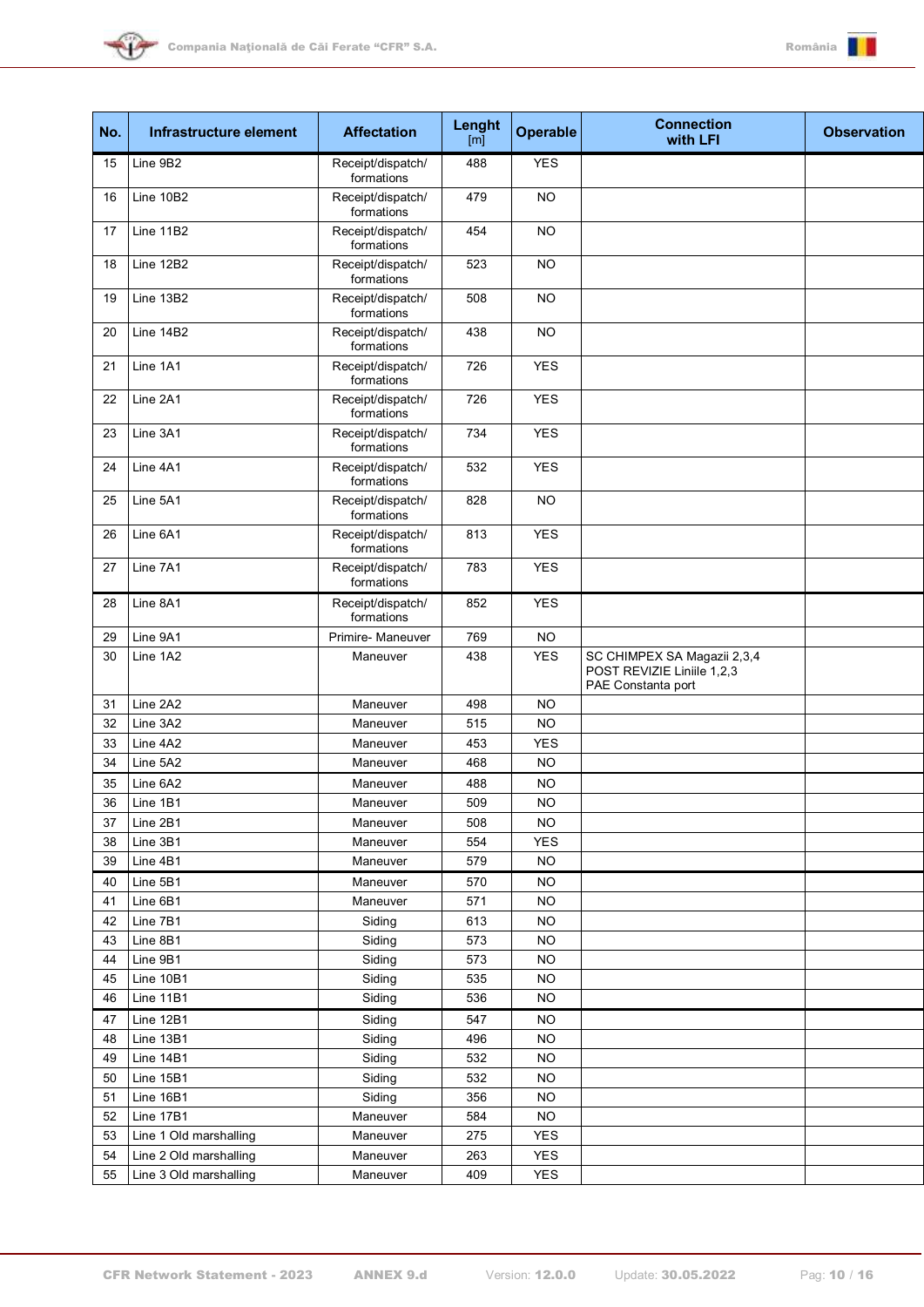



| No. | Infrastructure element | <b>Affectation</b>              | Lenght<br>[ml] | Operable   | <b>Connection</b><br>with LFI                                                   | <b>Observation</b> |
|-----|------------------------|---------------------------------|----------------|------------|---------------------------------------------------------------------------------|--------------------|
| 15  | Line 9B2               | Receipt/dispatch/<br>formations | 488            | <b>YES</b> |                                                                                 |                    |
| 16  | Line 10B2              | Receipt/dispatch/<br>formations | 479            | <b>NO</b>  |                                                                                 |                    |
| 17  | Line 11B2              | Receipt/dispatch/<br>formations | 454            | <b>NO</b>  |                                                                                 |                    |
| 18  | Line 12B2              | Receipt/dispatch/<br>formations | 523            | <b>NO</b>  |                                                                                 |                    |
| 19  | Line 13B2              | Receipt/dispatch/<br>formations | 508            | <b>NO</b>  |                                                                                 |                    |
| 20  | Line 14B2              | Receipt/dispatch/<br>formations | 438            | <b>NO</b>  |                                                                                 |                    |
| 21  | Line 1A1               | Receipt/dispatch/<br>formations | 726            | <b>YES</b> |                                                                                 |                    |
| 22  | Line 2A1               | Receipt/dispatch/<br>formations | 726            | <b>YES</b> |                                                                                 |                    |
| 23  | Line 3A1               | Receipt/dispatch/<br>formations | 734            | <b>YES</b> |                                                                                 |                    |
| 24  | Line 4A1               | Receipt/dispatch/<br>formations | 532            | <b>YES</b> |                                                                                 |                    |
| 25  | Line 5A1               | Receipt/dispatch/<br>formations | 828            | <b>NO</b>  |                                                                                 |                    |
| 26  | Line 6A1               | Receipt/dispatch/<br>formations | 813            | <b>YES</b> |                                                                                 |                    |
| 27  | Line 7A1               | Receipt/dispatch/<br>formations | 783            | <b>YES</b> |                                                                                 |                    |
| 28  | Line 8A1               | Receipt/dispatch/<br>formations | 852            | <b>YES</b> |                                                                                 |                    |
| 29  | Line 9A1               | Primire- Maneuver               | 769            | <b>NO</b>  |                                                                                 |                    |
| 30  | Line 1A2               | Maneuver                        | 438            | <b>YES</b> | SC CHIMPEX SA Magazii 2,3,4<br>POST REVIZIE Liniile 1,2,3<br>PAE Constanta port |                    |
| 31  | Line 2A2               | Maneuver                        | 498            | <b>NO</b>  |                                                                                 |                    |
| 32  | Line 3A2               | Maneuver                        | 515            | <b>NO</b>  |                                                                                 |                    |
| 33  | Line 4A2               | Maneuver                        | 453            | <b>YES</b> |                                                                                 |                    |
| 34  | Line 5A2               | Maneuver                        | 468            | <b>NO</b>  |                                                                                 |                    |
| 35  | Line 6A2               | Maneuver                        | 488            | <b>NO</b>  |                                                                                 |                    |
| 36  | Line 1B1               | Maneuver                        | 509            | NO         |                                                                                 |                    |
| 37  | Line 2B1               | Maneuver                        | 508            | NO.        |                                                                                 |                    |
| 38  | Line 3B1               | Maneuver                        | 554            | <b>YES</b> |                                                                                 |                    |
| 39  | Line 4B1               | Maneuver                        | 579            | NO.        |                                                                                 |                    |
| 40  | Line 5B1               | Maneuver                        | 570            | NO.        |                                                                                 |                    |
| 41  | Line 6B1               | Maneuver                        | 571            | NO.        |                                                                                 |                    |
| 42  | Line 7B1               | Siding                          | 613            | <b>NO</b>  |                                                                                 |                    |
| 43  | Line 8B1               | Siding                          | 573            | <b>NO</b>  |                                                                                 |                    |
| 44  | Line 9B1               | Siding                          | 573            | <b>NO</b>  |                                                                                 |                    |
| 45  | Line 10B1              | Siding                          | 535            | <b>NO</b>  |                                                                                 |                    |
| 46  | Line 11B1              | Siding                          | 536            | <b>NO</b>  |                                                                                 |                    |
| 47  | Line 12B1              | Siding                          | 547            | <b>NO</b>  |                                                                                 |                    |
| 48  | Line 13B1              | Siding                          | 496            | <b>NO</b>  |                                                                                 |                    |
| 49  | Line 14B1              | Siding                          | 532            | <b>NO</b>  |                                                                                 |                    |
| 50  | Line 15B1              | Siding                          | 532            | NO.        |                                                                                 |                    |
| 51  | Line 16B1              | Siding                          | 356            | NO.        |                                                                                 |                    |
| 52  | Line 17B1              | Maneuver                        | 584            | <b>NO</b>  |                                                                                 |                    |
| 53  | Line 1 Old marshalling | Maneuver                        | 275            | <b>YES</b> |                                                                                 |                    |
| 54  | Line 2 Old marshalling | Maneuver                        | 263            | <b>YES</b> |                                                                                 |                    |
| 55  | Line 3 Old marshalling | Maneuver                        | 409            | <b>YES</b> |                                                                                 |                    |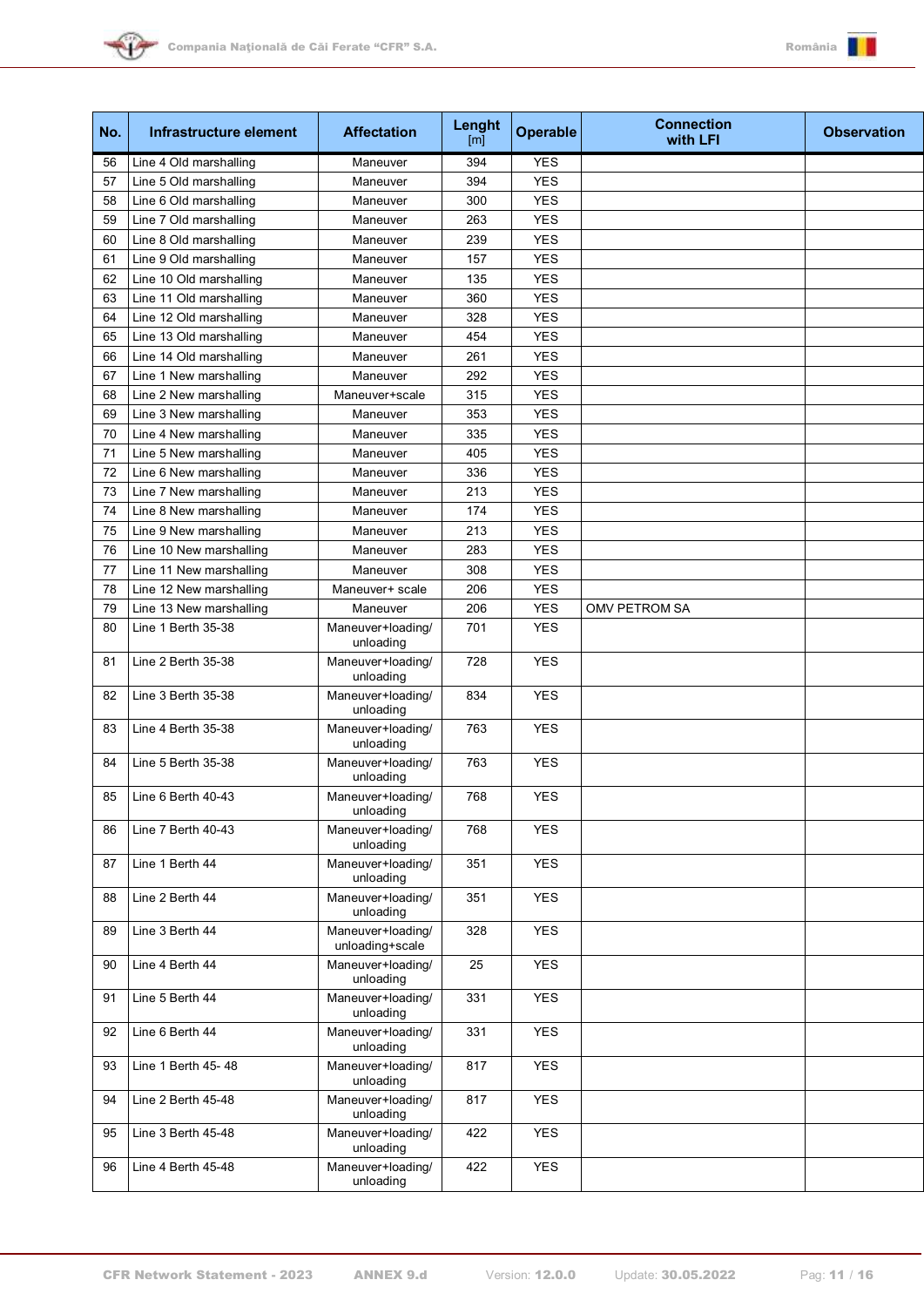



| No. | Infrastructure element  | <b>Affectation</b>                   | Lenght<br>$\lceil m \rceil$ | <b>Operable</b> | <b>Connection</b><br>with LFI | <b>Observation</b> |
|-----|-------------------------|--------------------------------------|-----------------------------|-----------------|-------------------------------|--------------------|
| 56  | Line 4 Old marshalling  | Maneuver                             | 394                         | <b>YES</b>      |                               |                    |
| 57  | Line 5 Old marshalling  | Maneuver                             | 394                         | <b>YES</b>      |                               |                    |
| 58  | Line 6 Old marshalling  | Maneuver                             | 300                         | <b>YES</b>      |                               |                    |
| 59  | Line 7 Old marshalling  | Maneuver                             | 263                         | <b>YES</b>      |                               |                    |
| 60  | Line 8 Old marshalling  | Maneuver                             | 239                         | <b>YES</b>      |                               |                    |
| 61  | Line 9 Old marshalling  | Maneuver                             | 157                         | <b>YES</b>      |                               |                    |
| 62  | Line 10 Old marshalling | Maneuver                             | 135                         | <b>YES</b>      |                               |                    |
| 63  | Line 11 Old marshalling | Maneuver                             | 360                         | <b>YES</b>      |                               |                    |
| 64  | Line 12 Old marshalling | Maneuver                             | 328                         | <b>YES</b>      |                               |                    |
| 65  | Line 13 Old marshalling | Maneuver                             | 454                         | <b>YES</b>      |                               |                    |
| 66  | Line 14 Old marshalling | Maneuver                             | 261                         | <b>YES</b>      |                               |                    |
| 67  | Line 1 New marshalling  | Maneuver                             | 292                         | <b>YES</b>      |                               |                    |
| 68  | Line 2 New marshalling  | Maneuver+scale                       | 315                         | <b>YES</b>      |                               |                    |
| 69  | Line 3 New marshalling  | Maneuver                             | 353                         | <b>YES</b>      |                               |                    |
| 70  | Line 4 New marshalling  | Maneuver                             | 335                         | <b>YES</b>      |                               |                    |
| 71  | Line 5 New marshalling  | Maneuver                             | 405                         | <b>YES</b>      |                               |                    |
| 72  | Line 6 New marshalling  | Maneuver                             | 336                         | <b>YES</b>      |                               |                    |
| 73  | Line 7 New marshalling  | Maneuver                             | 213                         | <b>YES</b>      |                               |                    |
| 74  | Line 8 New marshalling  | Maneuver                             | 174                         | <b>YES</b>      |                               |                    |
| 75  | Line 9 New marshalling  | Maneuver                             | 213                         | <b>YES</b>      |                               |                    |
| 76  | Line 10 New marshalling | Maneuver                             | 283                         | <b>YES</b>      |                               |                    |
| 77  | Line 11 New marshalling | Maneuver                             | 308                         | <b>YES</b>      |                               |                    |
| 78  | Line 12 New marshalling | Maneuver+ scale                      | 206                         | <b>YES</b>      |                               |                    |
| 79  | Line 13 New marshalling | Maneuver                             | 206                         | <b>YES</b>      | OMV PETROM SA                 |                    |
| 80  | Line 1 Berth 35-38      | Maneuver+loading/<br>unloading       | 701                         | <b>YES</b>      |                               |                    |
| 81  | Line 2 Berth 35-38      | Maneuver+loading/<br>unloading       | 728                         | <b>YES</b>      |                               |                    |
| 82  | Line 3 Berth 35-38      | Maneuver+loading/<br>unloading       | 834                         | <b>YES</b>      |                               |                    |
| 83  | Line 4 Berth 35-38      | Maneuver+loading/<br>unloading       | 763                         | <b>YES</b>      |                               |                    |
| 84  | Line 5 Berth 35-38      | Maneuver+loading/<br>unloading       | 763                         | <b>YES</b>      |                               |                    |
| 85  | Line $6$ Berth 40-43    | Maneuver+loading/<br>unloading       | 768                         | <b>YES</b>      |                               |                    |
| 86  | Line 7 Berth 40-43      | Maneuver+loading/<br>unloading       | 768                         | <b>YES</b>      |                               |                    |
| 87  | Line 1 Berth 44         | Maneuver+loading/<br>unloading       | 351                         | <b>YES</b>      |                               |                    |
| 88  | Line 2 Berth 44         | Maneuver+loading/<br>unloading       | 351                         | <b>YES</b>      |                               |                    |
| 89  | Line 3 Berth 44         | Maneuver+loading/<br>unloading+scale | 328                         | <b>YES</b>      |                               |                    |
| 90  | Line 4 Berth 44         | Maneuver+loading/<br>unloading       | 25                          | <b>YES</b>      |                               |                    |
| 91  | Line 5 Berth 44         | Maneuver+loading/<br>unloading       | 331                         | <b>YES</b>      |                               |                    |
| 92  | Line 6 Berth 44         | Maneuver+loading/<br>unloading       | 331                         | <b>YES</b>      |                               |                    |
| 93  | Line 1 Berth 45-48      | Maneuver+loading/<br>unloading       | 817                         | <b>YES</b>      |                               |                    |
| 94  | Line 2 Berth 45-48      | Maneuver+loading/<br>unloading       | 817                         | <b>YES</b>      |                               |                    |
| 95  | Line 3 Berth 45-48      | Maneuver+loading/<br>unloading       | 422                         | <b>YES</b>      |                               |                    |
| 96  | Line 4 Berth 45-48      | Maneuver+loading/<br>unloading       | 422                         | <b>YES</b>      |                               |                    |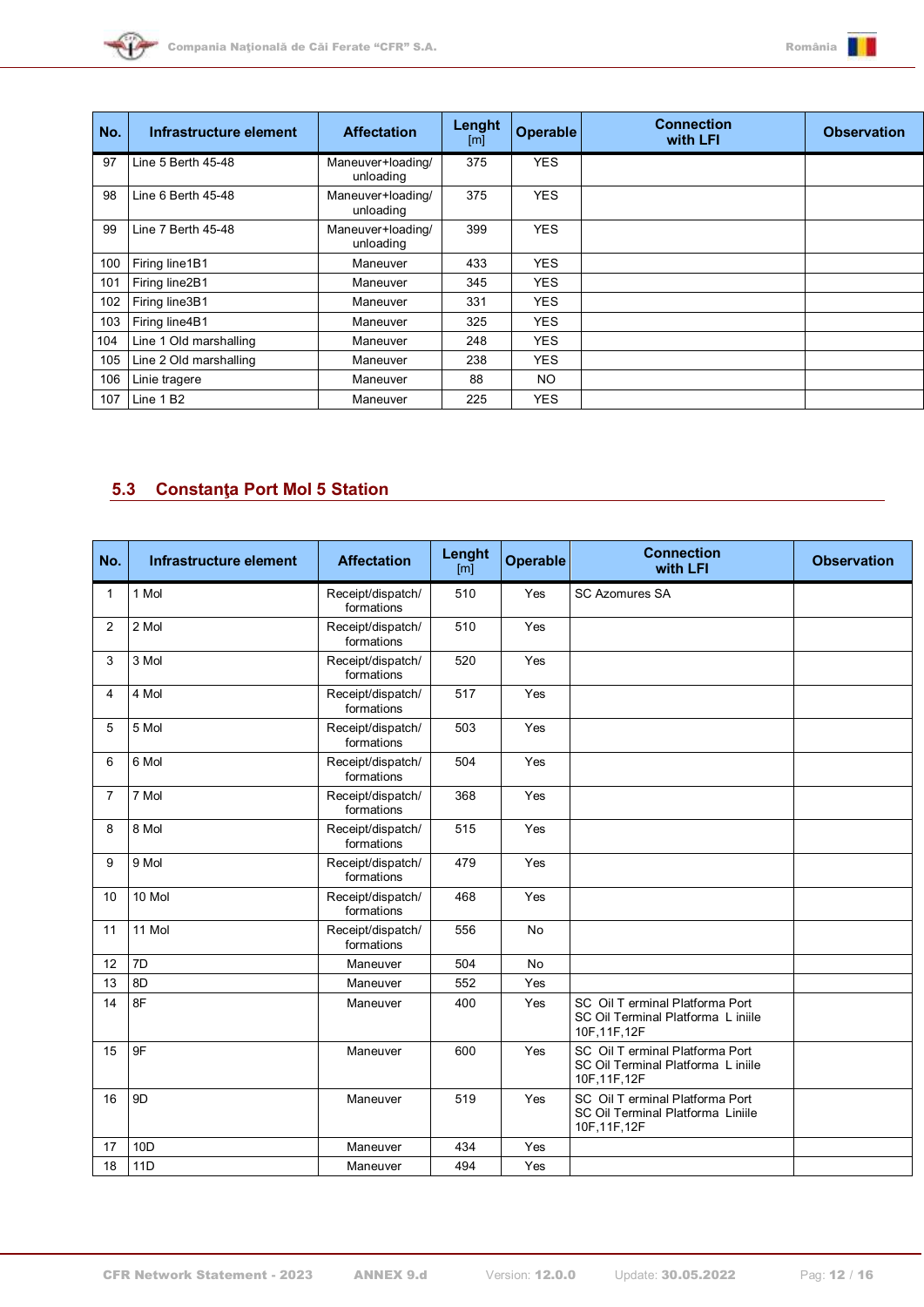



| No. | Infrastructure element | <b>Affectation</b>             | Lenght<br>[m] | <b>Operable</b> | <b>Connection</b><br>with LFI | <b>Observation</b> |
|-----|------------------------|--------------------------------|---------------|-----------------|-------------------------------|--------------------|
| 97  | Line 5 Berth 45-48     | Maneuver+loading/<br>unloading | 375           | <b>YES</b>      |                               |                    |
| 98  | Line 6 Berth 45-48     | Maneuver+loading/<br>unloading | 375           | <b>YES</b>      |                               |                    |
| 99  | Line 7 Berth 45-48     | Maneuver+loading/<br>unloading | 399           | <b>YES</b>      |                               |                    |
| 100 | Firing line1B1         | Maneuver                       | 433           | <b>YES</b>      |                               |                    |
| 101 | Firing line2B1         | Maneuver                       | 345           | <b>YES</b>      |                               |                    |
| 102 | Firing line3B1         | Maneuver                       | 331           | <b>YES</b>      |                               |                    |
| 103 | Firing line4B1         | Maneuver                       | 325           | <b>YES</b>      |                               |                    |
| 104 | Line 1 Old marshalling | Maneuver                       | 248           | <b>YES</b>      |                               |                    |
| 105 | Line 2 Old marshalling | Maneuver                       | 238           | <b>YES</b>      |                               |                    |
| 106 | Linie tragere          | Maneuver                       | 88            | NO.             |                               |                    |
| 107 | Line 1 B <sub>2</sub>  | Maneuver                       | 225           | <b>YES</b>      |                               |                    |

# <span id="page-11-0"></span>**5.3 Constanţa Port Mol 5 Station**

| No.          | Infrastructure element | <b>Affectation</b>              | Lenght<br>[ <sub>m</sub> ] | <b>Operable</b> | <b>Connection</b><br>with LFI                                                          | <b>Observation</b> |
|--------------|------------------------|---------------------------------|----------------------------|-----------------|----------------------------------------------------------------------------------------|--------------------|
| $\mathbf{1}$ | 1 Mol                  | Receipt/dispatch/<br>formations | 510                        | Yes             | <b>SC Azomures SA</b>                                                                  |                    |
| 2            | 2 Mol                  | Receipt/dispatch/<br>formations | 510                        | Yes             |                                                                                        |                    |
| 3            | 3 Mol                  | Receipt/dispatch/<br>formations | 520                        | Yes             |                                                                                        |                    |
| 4            | 4 Mol                  | Receipt/dispatch/<br>formations | 517                        | Yes             |                                                                                        |                    |
| 5            | 5 Mol                  | Receipt/dispatch/<br>formations | 503                        | Yes             |                                                                                        |                    |
| 6            | 6 Mol                  | Receipt/dispatch/<br>formations | 504                        | Yes             |                                                                                        |                    |
| 7            | 7 Mol                  | Receipt/dispatch/<br>formations | 368                        | Yes             |                                                                                        |                    |
| 8            | 8 Mol                  | Receipt/dispatch/<br>formations | 515                        | Yes             |                                                                                        |                    |
| 9            | 9 Mol                  | Receipt/dispatch/<br>formations | 479                        | Yes             |                                                                                        |                    |
| 10           | 10 Mol                 | Receipt/dispatch/<br>formations | 468                        | Yes             |                                                                                        |                    |
| 11           | 11 Mol                 | Receipt/dispatch/<br>formations | 556                        | <b>No</b>       |                                                                                        |                    |
| 12           | 7D                     | Maneuver                        | 504                        | <b>No</b>       |                                                                                        |                    |
| 13           | 8D                     | Maneuver                        | 552                        | Yes             |                                                                                        |                    |
| 14           | 8F                     | Maneuver                        | 400                        | Yes             | SC Oil T erminal Platforma Port<br>SC Oil Terminal Platforma L iniile<br>10F, 11F, 12F |                    |
| 15           | 9F                     | Maneuver                        | 600                        | Yes             | SC Oil T erminal Platforma Port<br>SC Oil Terminal Platforma L iniile<br>10F, 11F, 12F |                    |
| 16           | 9 <sub>D</sub>         | Maneuver                        | 519                        | Yes             | SC Oil T erminal Platforma Port<br>SC Oil Terminal Platforma Liniile<br>10F, 11F, 12F  |                    |
| 17           | 10 <sub>D</sub>        | Maneuver                        | 434                        | Yes             |                                                                                        |                    |
| 18           | <b>11D</b>             | Maneuver                        | 494                        | Yes             |                                                                                        |                    |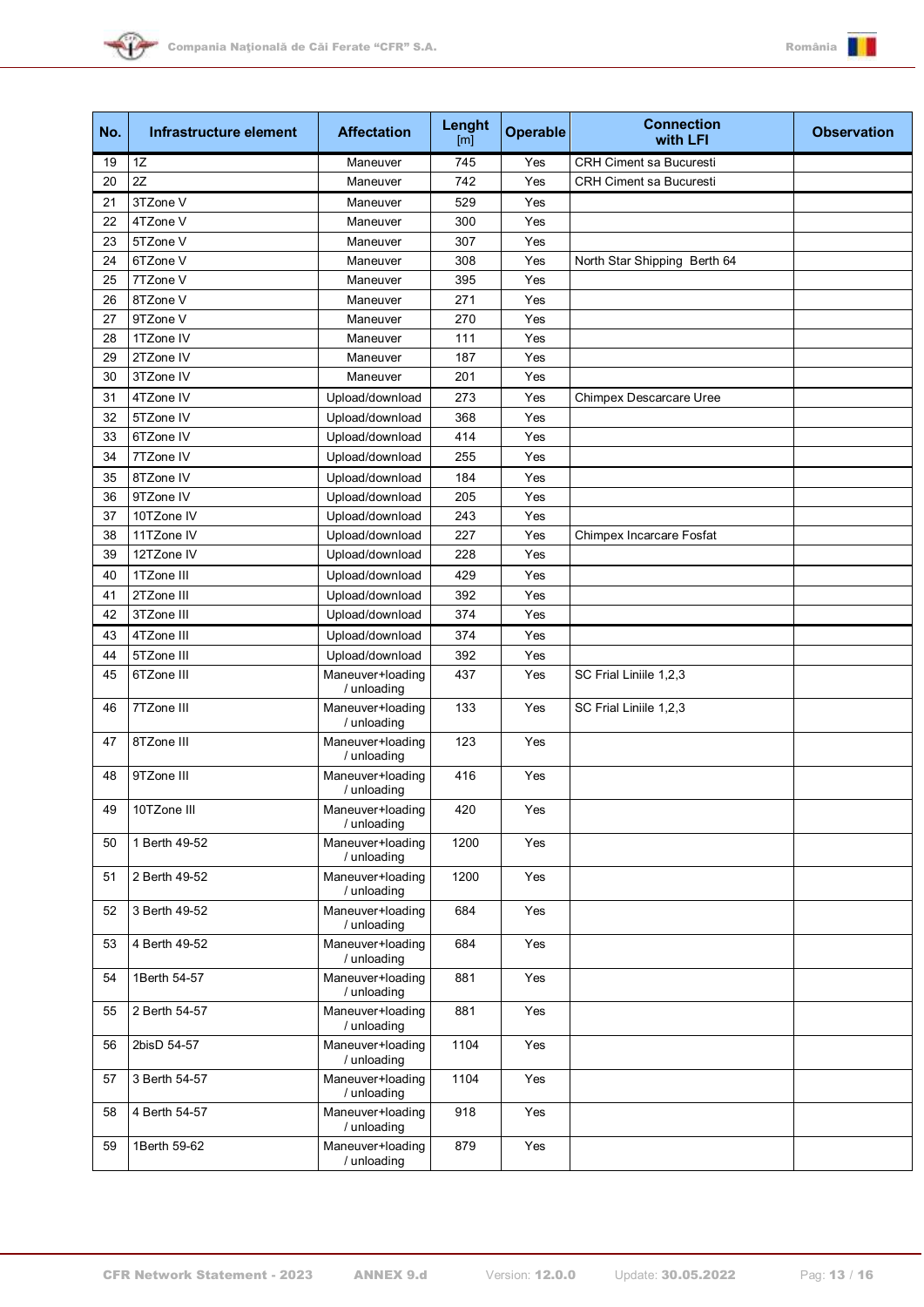



| No. | Infrastructure element | <b>Affectation</b>              | Lenght<br>[m] | <b>Operable</b> | <b>Connection</b><br>with LFI   | <b>Observation</b> |
|-----|------------------------|---------------------------------|---------------|-----------------|---------------------------------|--------------------|
| 19  | 1Z                     | Maneuver                        | 745           | Yes             | <b>CRH Ciment sa Bucuresti</b>  |                    |
| 20  | 2Z                     | Maneuver                        | 742           | Yes             | <b>CRH Ciment sa Bucuresti</b>  |                    |
| 21  | 3TZone V               | Maneuver                        | 529           | Yes             |                                 |                    |
| 22  | 4TZone V               | Maneuver                        | 300           | Yes             |                                 |                    |
| 23  | 5TZone V               | Maneuver                        | 307           | Yes             |                                 |                    |
| 24  | 6TZone V               | Maneuver                        | 308           | Yes             | North Star Shipping Berth 64    |                    |
| 25  | 7TZone V               | Maneuver                        | 395           | Yes             |                                 |                    |
| 26  | 8TZone V               | Maneuver                        | 271           | Yes             |                                 |                    |
| 27  | 9TZone V               | Maneuver                        | 270           | Yes             |                                 |                    |
| 28  | 1TZone IV              | Maneuver                        | 111           | Yes             |                                 |                    |
| 29  | 2TZone IV              | Maneuver                        | 187           | Yes             |                                 |                    |
| 30  | 3TZone IV              | Maneuver                        | 201           | Yes             |                                 |                    |
| 31  | 4TZone IV              | Upload/download                 | 273           | Yes             | Chimpex Descarcare Uree         |                    |
| 32  | 5TZone IV              | Upload/download                 | 368           | Yes             |                                 |                    |
| 33  | 6TZone IV              | Upload/download                 | 414           | Yes             |                                 |                    |
| 34  | 7TZone IV              | Upload/download                 | 255           | Yes             |                                 |                    |
| 35  | 8TZone IV              | Upload/download                 | 184           | Yes             |                                 |                    |
| 36  | 9TZone IV              | Upload/download                 | 205           | Yes             |                                 |                    |
| 37  | 10TZone IV             | Upload/download                 | 243           | Yes             |                                 |                    |
| 38  | 11TZone IV             | Upload/download                 | 227           | Yes             | <b>Chimpex Incarcare Fosfat</b> |                    |
| 39  | 12TZone IV             | Upload/download                 | 228           | Yes             |                                 |                    |
|     | 1TZone III             |                                 |               |                 |                                 |                    |
| 40  |                        | Upload/download                 | 429           | Yes             |                                 |                    |
| 41  | 2TZone III             | Upload/download                 | 392           | Yes             |                                 |                    |
| 42  | 3TZone III             | Upload/download                 | 374           | Yes             |                                 |                    |
| 43  | 4TZone III             | Upload/download                 | 374           | Yes             |                                 |                    |
| 44  | 5TZone III             | Upload/download                 | 392           | Yes             |                                 |                    |
| 45  | 6TZone III             | Maneuver+loading<br>/ unloading | 437           | Yes             | SC Frial Liniile 1,2,3          |                    |
| 46  | 7TZone III             | Maneuver+loading<br>/ unloading | 133           | Yes             | SC Frial Liniile 1,2,3          |                    |
| 47  | 8TZone III             | Maneuver+loading<br>/ unloading | 123           | Yes             |                                 |                    |
| 48  | 9TZone III             | Maneuver+loading<br>/ unloading | 416           | Yes             |                                 |                    |
| 49  | 10TZone III            | Maneuver+loading<br>/ unloading | 420           | Yes             |                                 |                    |
| 50  | 1 Berth 49-52          | Maneuver+loading<br>/ unloading | 1200          | Yes             |                                 |                    |
| 51  | 2 Berth 49-52          | Maneuver+loading<br>/ unloading | 1200          | Yes             |                                 |                    |
| 52  | 3 Berth 49-52          | Maneuver+loading<br>/ unloading | 684           | Yes             |                                 |                    |
| 53  | 4 Berth 49-52          | Maneuver+loading<br>/ unloading | 684           | Yes             |                                 |                    |
| 54  | 1Berth 54-57           | Maneuver+loading<br>/ unloading | 881           | Yes             |                                 |                    |
| 55  | 2 Berth 54-57          | Maneuver+loading<br>/ unloading | 881           | Yes             |                                 |                    |
| 56  | 2bisD 54-57            | Maneuver+loading<br>/ unloading | 1104          | Yes             |                                 |                    |
| 57  | 3 Berth 54-57          | Maneuver+loading<br>/ unloading | 1104          | Yes             |                                 |                    |
| 58  | 4 Berth 54-57          | Maneuver+loading<br>/ unloading | 918           | Yes             |                                 |                    |
| 59  | 1Berth 59-62           | Maneuver+loading<br>/ unloading | 879           | Yes             |                                 |                    |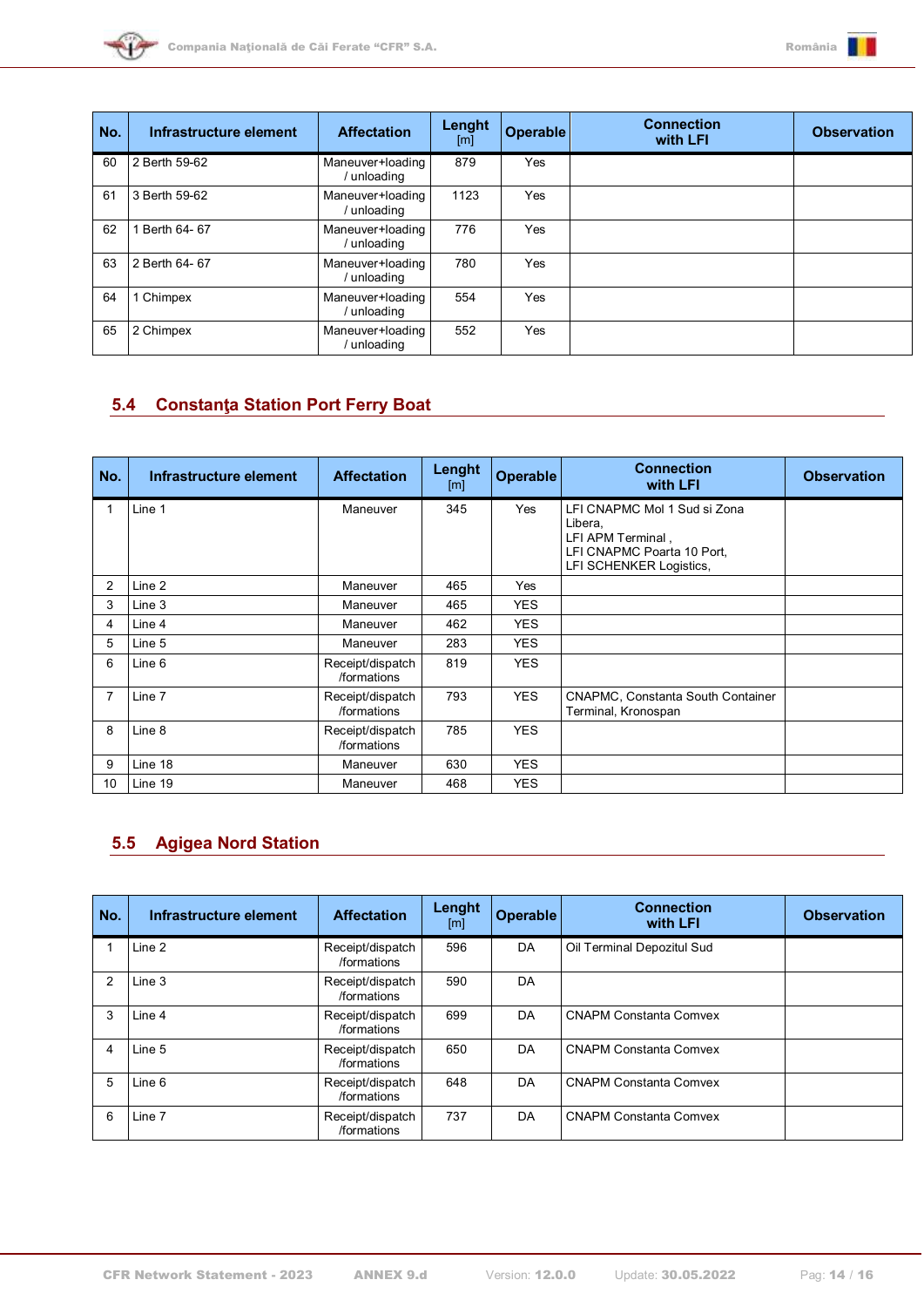



| No. | Infrastructure element | <b>Affectation</b>            | Lenght<br>[m] | Operable | <b>Connection</b><br>with LFI | <b>Observation</b> |
|-----|------------------------|-------------------------------|---------------|----------|-------------------------------|--------------------|
| 60  | 2 Berth 59-62          | Maneuver+loading<br>unloading | 879           | Yes      |                               |                    |
| 61  | 3 Berth 59-62          | Maneuver+loading<br>unloading | 1123          | Yes      |                               |                    |
| 62  | Berth 64-67            | Maneuver+loading<br>unloading | 776           | Yes      |                               |                    |
| 63  | 2 Berth 64- 67         | Maneuver+loading<br>unloading | 780           | Yes      |                               |                    |
| 64  | Chimpex                | Maneuver+loading<br>unloading | 554           | Yes      |                               |                    |
| 65  | 2 Chimpex              | Maneuver+loading<br>unloading | 552           | Yes      |                               |                    |

# <span id="page-13-0"></span>**5.4 Constanţa Station Port Ferry Boat**

| No.            | Infrastructure element | <b>Affectation</b>              | Lenght<br>[m] | <b>Operable</b> | <b>Connection</b><br>with LFI                                                                                         | <b>Observation</b> |
|----------------|------------------------|---------------------------------|---------------|-----------------|-----------------------------------------------------------------------------------------------------------------------|--------------------|
|                | Line 1                 | Maneuver                        | 345           | Yes             | LFI CNAPMC Mol 1 Sud si Zona<br>Libera,<br>LFI APM Terminal,<br>LFI CNAPMC Poarta 10 Port,<br>LFI SCHENKER Logistics, |                    |
| $\overline{2}$ | Line 2                 | Maneuver                        | 465           | Yes             |                                                                                                                       |                    |
| 3              | Line 3                 | Maneuver                        | 465           | <b>YES</b>      |                                                                                                                       |                    |
| 4              | Line 4                 | Maneuver                        | 462           | <b>YES</b>      |                                                                                                                       |                    |
| 5              | Line 5                 | Maneuver                        | 283           | <b>YES</b>      |                                                                                                                       |                    |
| 6              | Line 6                 | Receipt/dispatch<br>/formations | 819           | <b>YES</b>      |                                                                                                                       |                    |
| 7              | Line 7                 | Receipt/dispatch<br>/formations | 793           | <b>YES</b>      | <b>CNAPMC, Constanta South Container</b><br>Terminal, Kronospan                                                       |                    |
| 8              | Line 8                 | Receipt/dispatch<br>/formations | 785           | <b>YES</b>      |                                                                                                                       |                    |
| 9              | Line 18                | Maneuver                        | 630           | <b>YES</b>      |                                                                                                                       |                    |
| 10             | Line 19                | Maneuver                        | 468           | <b>YES</b>      |                                                                                                                       |                    |

# <span id="page-13-1"></span>**5.5 Agigea Nord Station**

| No. | Infrastructure element | <b>Affectation</b>              | Lenght<br>[m] | <b>Operable</b> | <b>Connection</b><br>with LFI | <b>Observation</b> |
|-----|------------------------|---------------------------------|---------------|-----------------|-------------------------------|--------------------|
|     | Line 2                 | Receipt/dispatch<br>/formations | 596           | DA              | Oil Terminal Depozitul Sud    |                    |
| 2   | Line 3                 | Receipt/dispatch<br>/formations | 590           | DA              |                               |                    |
| 3   | Line 4                 | Receipt/dispatch<br>/formations | 699           | DA              | <b>CNAPM Constanta Comvex</b> |                    |
| 4   | Line 5                 | Receipt/dispatch<br>/formations | 650           | DA              | <b>CNAPM Constanta Comvex</b> |                    |
| 5   | Line 6                 | Receipt/dispatch<br>/formations | 648           | DA              | <b>CNAPM Constanta Comvex</b> |                    |
| 6   | Line 7                 | Receipt/dispatch<br>/formations | 737           | DA              | <b>CNAPM Constanta Comvex</b> |                    |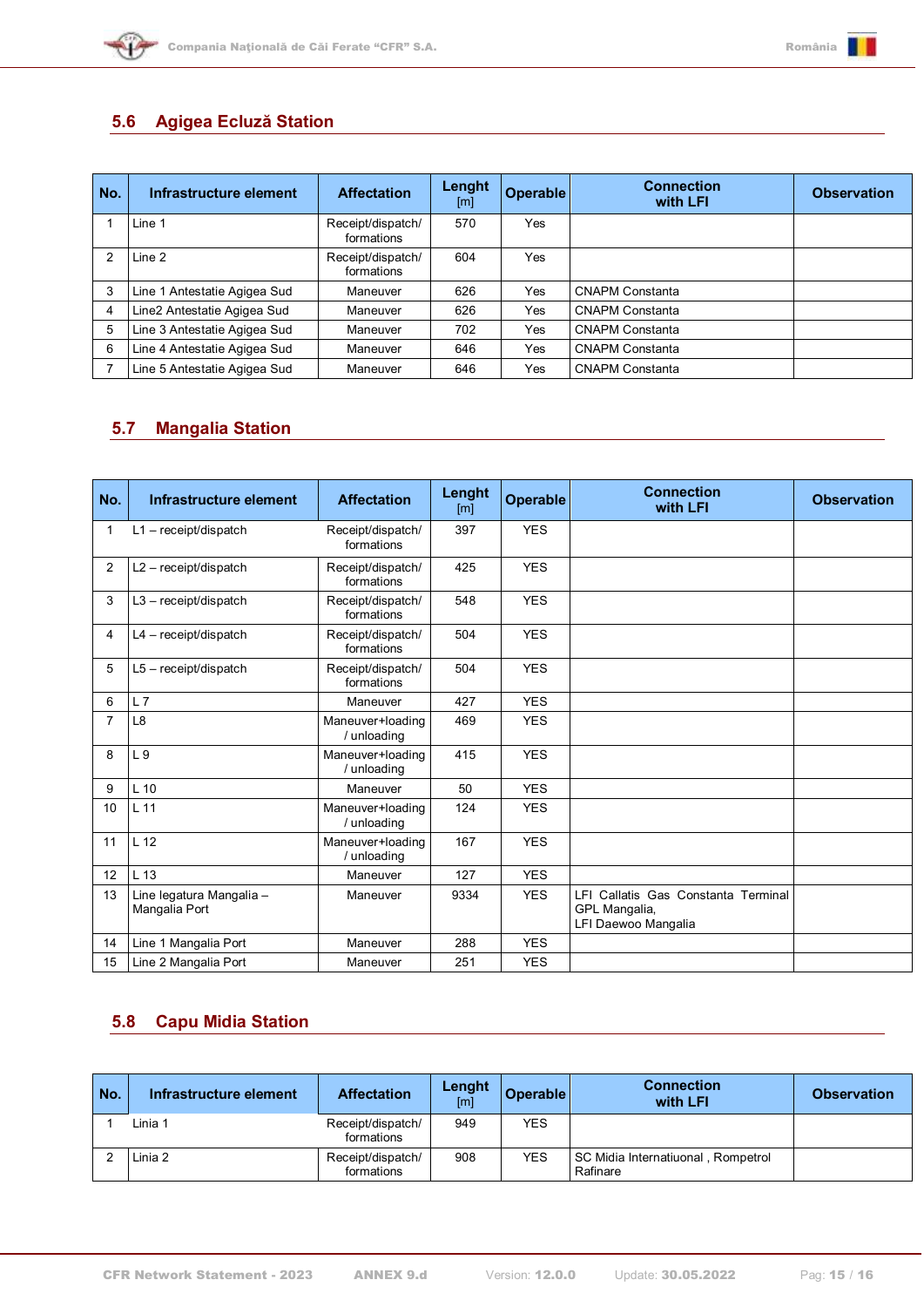



## <span id="page-14-0"></span>**5.6 Agigea Ecluză Station**

| No. | Infrastructure element       | <b>Affectation</b>              | Lenght<br>[m] | Operable | <b>Connection</b><br>with LFI | <b>Observation</b> |
|-----|------------------------------|---------------------------------|---------------|----------|-------------------------------|--------------------|
|     | Line 1                       | Receipt/dispatch/<br>formations | 570           | Yes      |                               |                    |
| 2   | Line 2                       | Receipt/dispatch/<br>formations | 604           | Yes      |                               |                    |
| 3   | Line 1 Antestatie Agigea Sud | Maneuver                        | 626           | Yes      | <b>CNAPM Constanta</b>        |                    |
|     | Line2 Antestatie Agigea Sud  | Maneuver                        | 626           | Yes      | <b>CNAPM Constanta</b>        |                    |
| 5   | Line 3 Antestatie Agigea Sud | Maneuver                        | 702           | Yes      | <b>CNAPM Constanta</b>        |                    |
| 6   | Line 4 Antestatie Agigea Sud | Maneuver                        | 646           | Yes      | <b>CNAPM Constanta</b>        |                    |
|     | Line 5 Antestatie Agigea Sud | Maneuver                        | 646           | Yes      | <b>CNAPM Constanta</b>        |                    |

## <span id="page-14-1"></span>**5.7 Mangalia Station**

| No.            | Infrastructure element                    | <b>Affectation</b>              | Lenght<br>$\lceil m \rceil$ | <b>Operable</b> | <b>Connection</b><br>with LFI                                               | <b>Observation</b> |
|----------------|-------------------------------------------|---------------------------------|-----------------------------|-----------------|-----------------------------------------------------------------------------|--------------------|
| $\mathbf 1$    | $L1 - \text{receiver/dispatch}$           | Receipt/dispatch/<br>formations | 397                         | <b>YES</b>      |                                                                             |                    |
| $\overline{2}$ | $L2 - \text{receiver/dispatch}$           | Receipt/dispatch/<br>formations | 425                         | <b>YES</b>      |                                                                             |                    |
| 3              | $L3 - \text{receiver/dispatch}$           | Receipt/dispatch/<br>formations | 548                         | <b>YES</b>      |                                                                             |                    |
| 4              | $L4 - received$ ispatch                   | Receipt/dispatch/<br>formations | 504                         | <b>YES</b>      |                                                                             |                    |
| 5              | L5 - receipt/dispatch                     | Receipt/dispatch/<br>formations | 504                         | <b>YES</b>      |                                                                             |                    |
| 6              | L7                                        | Maneuver                        | 427                         | <b>YES</b>      |                                                                             |                    |
| $\overline{7}$ | L8                                        | Maneuver+loading<br>/ unloading | 469                         | <b>YES</b>      |                                                                             |                    |
| 8              | L <sub>9</sub>                            | Maneuver+loading<br>/ unloading | 415                         | <b>YES</b>      |                                                                             |                    |
| 9              | $L$ 10                                    | Maneuver                        | 50                          | <b>YES</b>      |                                                                             |                    |
| 10             | L <sub>11</sub>                           | Maneuver+loading<br>/ unloading | 124                         | <b>YES</b>      |                                                                             |                    |
| 11             | L <sub>12</sub>                           | Maneuver+loading<br>/ unloading | 167                         | <b>YES</b>      |                                                                             |                    |
| 12             | L 13                                      | Maneuver                        | 127                         | <b>YES</b>      |                                                                             |                    |
| 13             | Line legatura Mangalia -<br>Mangalia Port | Maneuver                        | 9334                        | <b>YES</b>      | LFI Callatis Gas Constanta Terminal<br>GPL Mangalia,<br>LFI Daewoo Mangalia |                    |
| 14             | Line 1 Mangalia Port                      | Maneuver                        | 288                         | <b>YES</b>      |                                                                             |                    |
| 15             | Line 2 Mangalia Port                      | Maneuver                        | 251                         | <b>YES</b>      |                                                                             |                    |

## <span id="page-14-2"></span>**5.8 Capu Midia Station**

| No. | Infrastructure element | <b>Affectation</b>              | Lenght<br>[m] | Operable   | <b>Connection</b><br>with LFI                  | <b>Observation</b> |
|-----|------------------------|---------------------------------|---------------|------------|------------------------------------------------|--------------------|
|     | Linia 1                | Receipt/dispatch/<br>formations | 949           | <b>YES</b> |                                                |                    |
|     | Linia 2                | Receipt/dispatch/<br>formations | 908           | <b>YES</b> | SC Midia Internatiuonal, Rompetrol<br>Rafinare |                    |